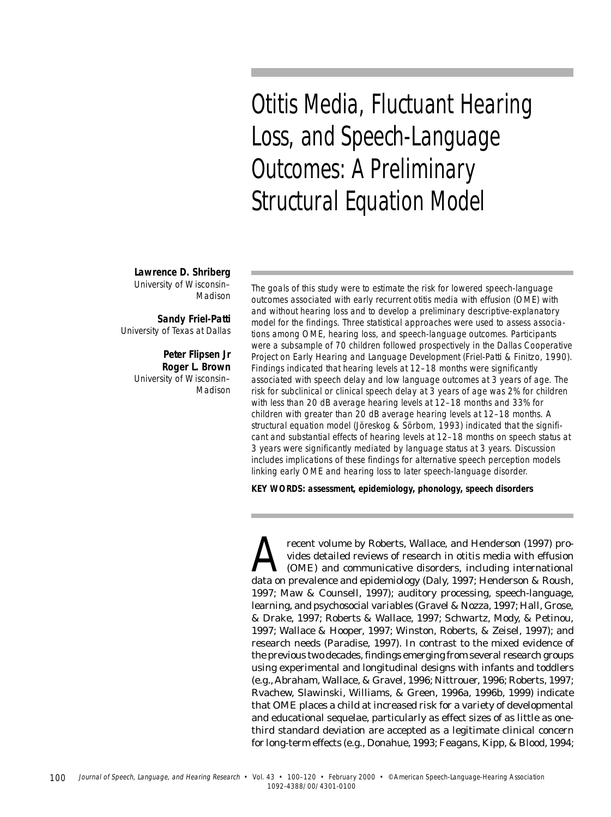Otitis Media, Fluctuant Hearing Loss, and Speech-Language Outcomes: A Preliminary Structural Equation Model

**Lawrence D. Shriberg** University of Wisconsin– Madison

**Sandy Friel-Patti** University of Texas at Dallas

> **Peter Flipsen Jr Roger L. Brown** University of Wisconsin– Madison

The goals of this study were to estimate the risk for lowered speech-language outcomes associated with early recurrent otitis media with effusion (OME) with and without hearing loss and to develop a preliminary descriptive-explanatory model for the findings. Three statistical approaches were used to assess associations among OME, hearing loss, and speech-language outcomes. Participants were a subsample of 70 children followed prospectively in the Dallas Cooperative Project on Early Hearing and Language Development (Friel-Patti & Finitzo, 1990). Findings indicated that hearing levels at 12–18 months were significantly associated with speech delay and low language outcomes at 3 years of age. The risk for subclinical or clinical speech delay at 3 years of age was 2% for children with less than 20 dB average hearing levels at 12–18 months and 33% for children with greater than 20 dB average hearing levels at 12–18 months. A structural equation model (Jöreskog & Sörbom, 1993) indicated that the significant and substantial effects of hearing levels at 12–18 months on speech status at 3 years were significantly mediated by language status at 3 years. Discussion includes implications of these findings for alternative speech perception models linking early OME and hearing loss to later speech-language disorder.

**KEY WORDS: assessment, epidemiology, phonology, speech disorders**

recent volume by Roberts, Wallace, and Henderson (1997) provides detailed reviews of research in otitis media with effusion (OME) and communicative disorders, including international data on prevalence and epidemiology (Daly, 1997; Henderson & Roush, 1997; Maw & Counsell, 1997); auditory processing, speech-language, learning, and psychosocial variables (Gravel & Nozza, 1997; Hall, Grose, & Drake, 1997; Roberts & Wallace, 1997; Schwartz, Mody, & Petinou, 1997; Wallace & Hooper, 1997; Winston, Roberts, & Zeisel, 1997); and research needs (Paradise, 1997). In contrast to the mixed evidence of the previous two decades, findings emerging from several research groups using experimental and longitudinal designs with infants and toddlers (e.g., Abraham, Wallace, & Gravel, 1996; Nittrouer, 1996; Roberts, 1997; Rvachew, Slawinski, Williams, & Green, 1996a, 1996b, 1999) indicate that OME places a child at increased risk for a variety of developmental and educational sequelae, particularly as effect sizes of as little as onethird standard deviation are accepted as a legitimate clinical concern for long-term effects (e.g., Donahue, 1993; Feagans, Kipp, & Blood, 1994;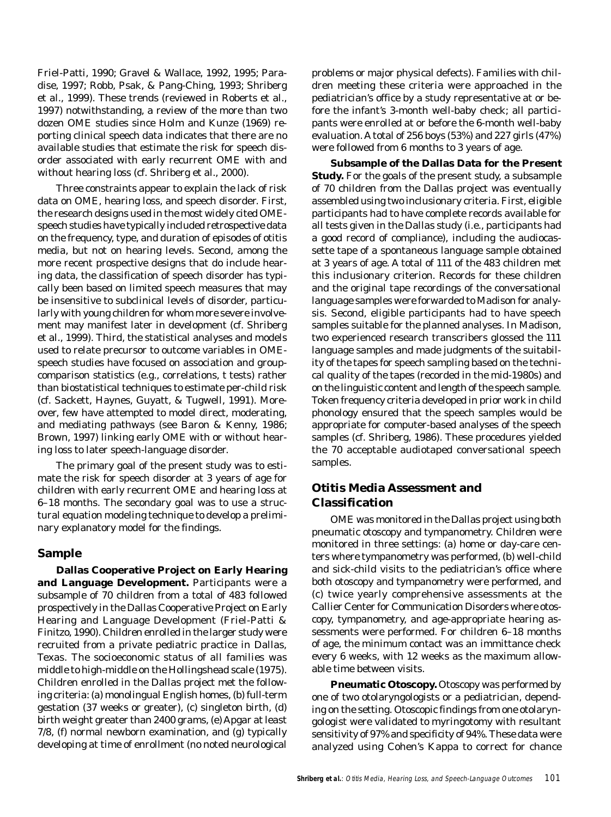Friel-Patti, 1990; Gravel & Wallace, 1992, 1995; Paradise, 1997; Robb, Psak, & Pang-Ching, 1993; Shriberg et al., 1999). These trends (reviewed in Roberts et al., 1997) notwithstanding, a review of the more than two dozen OME studies since Holm and Kunze (1969) reporting clinical speech data indicates that there are no available studies that estimate the risk for speech disorder associated with early recurrent OME with and without hearing loss (cf. Shriberg et al., 2000).

Three constraints appear to explain the lack of risk data on OME, hearing loss, and speech disorder. First, the research designs used in the most widely cited OMEspeech studies have typically included retrospective data on the frequency, type, and duration of episodes of otitis media, but not on hearing levels. Second, among the more recent prospective designs that do include hearing data, the classification of speech disorder has typically been based on limited speech measures that may be insensitive to subclinical levels of disorder, particularly with young children for whom more severe involvement may manifest later in development (cf. Shriberg et al., 1999). Third, the statistical analyses and models used to relate precursor to outcome variables in OMEspeech studies have focused on association and groupcomparison statistics (e.g., correlations, *t* tests) rather than biostatistical techniques to estimate per-child risk (cf. Sackett, Haynes, Guyatt, & Tugwell, 1991). Moreover, few have attempted to model direct, moderating, and mediating pathways (see Baron & Kenny, 1986; Brown, 1997) linking early OME with or without hearing loss to later speech-language disorder.

The primary goal of the present study was to estimate the risk for speech disorder at 3 years of age for children with early recurrent OME and hearing loss at 6–18 months. The secondary goal was to use a structural equation modeling technique to develop a preliminary explanatory model for the findings.

#### **Sample**

**Dallas Cooperative Project on Early Hearing and Language Development.** Participants were a subsample of 70 children from a total of 483 followed prospectively in the Dallas Cooperative Project on Early Hearing and Language Development (Friel-Patti & Finitzo, 1990). Children enrolled in the larger study were recruited from a private pediatric practice in Dallas, Texas. The socioeconomic status of all families was middle to high-middle on the Hollingshead scale (1975). Children enrolled in the Dallas project met the following criteria: (a) monolingual English homes, (b) full-term gestation (37 weeks or greater), (c) singleton birth, (d) birth weight greater than 2400 grams, (e) Apgar at least 7/8, (f) normal newborn examination, and (g) typically developing at time of enrollment (no noted neurological

problems or major physical defects). Families with children meeting these criteria were approached in the pediatrician's office by a study representative at or before the infant's 3-month well-baby check; all participants were enrolled at or before the 6-month well-baby evaluation. A total of 256 boys (53%) and 227 girls (47%) were followed from 6 months to 3 years of age.

**Subsample of the Dallas Data for the Present Study.** For the goals of the present study, a subsample of 70 children from the Dallas project was eventually assembled using two inclusionary criteria. First, eligible participants had to have complete records available for all tests given in the Dallas study (i.e., participants had a good record of compliance), including the audiocassette tape of a spontaneous language sample obtained at 3 years of age. A total of 111 of the 483 children met this inclusionary criterion. Records for these children and the original tape recordings of the conversational language samples were forwarded to Madison for analysis. Second, eligible participants had to have speech samples suitable for the planned analyses. In Madison, two experienced research transcribers glossed the 111 language samples and made judgments of the suitability of the tapes for speech sampling based on the technical quality of the tapes (recorded in the mid-1980s) and on the linguistic content and length of the speech sample. Token frequency criteria developed in prior work in child phonology ensured that the speech samples would be appropriate for computer-based analyses of the speech samples (cf. Shriberg, 1986). These procedures yielded the 70 acceptable audiotaped conversational speech samples.

### **Otitis Media Assessment and Classification**

OME was monitored in the Dallas project using both pneumatic otoscopy and tympanometry. Children were monitored in three settings: (a) home or day-care centers where tympanometry was performed, (b) well-child and sick-child visits to the pediatrician's office where both otoscopy and tympanometry were performed, and (c) twice yearly comprehensive assessments at the Callier Center for Communication Disorders where otoscopy, tympanometry, and age-appropriate hearing assessments were performed. For children 6–18 months of age, the minimum contact was an immittance check every 6 weeks, with 12 weeks as the maximum allowable time between visits.

**Pneumatic Otoscopy.** Otoscopy was performed by one of two otolaryngologists or a pediatrician, depending on the setting. Otoscopic findings from one otolaryngologist were validated to myringotomy with resultant sensitivity of 97% and specificity of 94%. These data were analyzed using Cohen's Kappa to correct for chance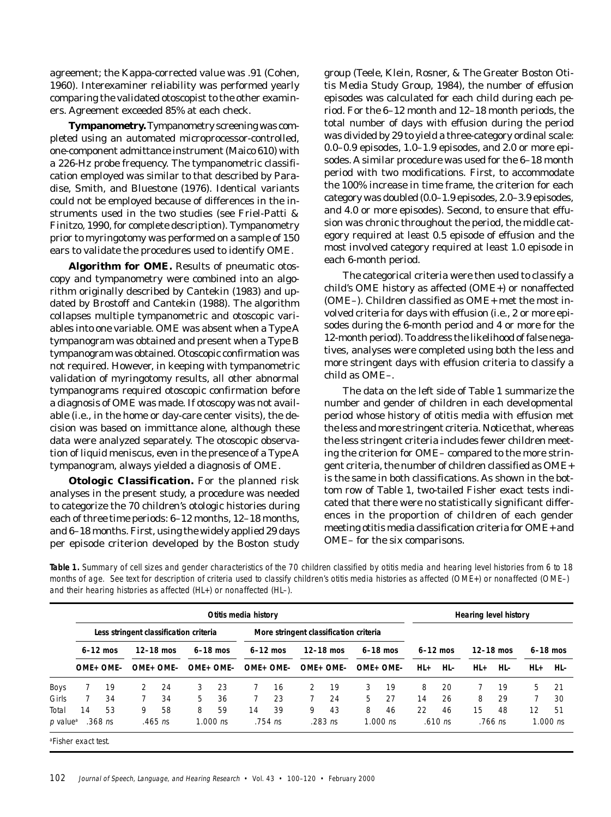agreement; the Kappa-corrected value was .91 (Cohen, 1960). Interexaminer reliability was performed yearly comparing the validated otoscopist to the other examiners. Agreement exceeded 85% at each check.

**Tympanometry.** Tympanometry screening was completed using an automated microprocessor-controlled, one-component admittance instrument (Maico 610) with a 226-Hz probe frequency. The tympanometric classification employed was similar to that described by Paradise, Smith, and Bluestone (1976). Identical variants could not be employed because of differences in the instruments used in the two studies (see Friel-Patti & Finitzo, 1990, for complete description). Tympanometry prior to myringotomy was performed on a sample of 150 ears to validate the procedures used to identify OME.

**Algorithm for OME.** Results of pneumatic otoscopy and tympanometry were combined into an algorithm originally described by Cantekin (1983) and updated by Brostoff and Cantekin (1988). The algorithm collapses multiple tympanometric and otoscopic variables into one variable. OME was absent when a Type A tympanogram was obtained and present when a Type B tympanogram was obtained. Otoscopic confirmation was not required. However, in keeping with tympanometric validation of myringotomy results, all other abnormal tympanograms required otoscopic confirmation before a diagnosis of OME was made. If otoscopy was not available (i.e., in the home or day-care center visits), the decision was based on immittance alone, although these data were analyzed separately. The otoscopic observation of liquid meniscus, even in the presence of a Type A tympanogram, always yielded a diagnosis of OME.

**Otologic Classification.** For the planned risk analyses in the present study, a procedure was needed to categorize the 70 children's otologic histories during each of three time periods: 6–12 months, 12–18 months, and 6–18 months. First, using the widely applied 29 days per episode criterion developed by the Boston study

group (Teele, Klein, Rosner, & The Greater Boston Otitis Media Study Group, 1984), the number of effusion episodes was calculated for each child during each period. For the 6–12 month and 12–18 month periods, the total number of days with effusion during the period was divided by 29 to yield a three-category ordinal scale: 0.0–0.9 episodes, 1.0–1.9 episodes, and 2.0 or more episodes. A similar procedure was used for the 6–18 month period with two modifications. First, to accommodate the 100% increase in time frame, the criterion for each category was doubled (0.0–1.9 episodes, 2.0–3.9 episodes, and 4.0 or more episodes). Second, to ensure that effusion was chronic throughout the period, the middle category required at least 0.5 episode of effusion and the most involved category required at least 1.0 episode in each 6-month period.

The categorical criteria were then used to classify a child's OME history as affected (OME+) or nonaffected (OME–). Children classified as OME+ met the most involved criteria for days with effusion (i.e., 2 or more episodes during the 6-month period and 4 or more for the 12-month period). To address the likelihood of false negatives, analyses were completed using both the less and more stringent days with effusion criteria to classify a child as OME–.

The data on the left side of Table 1 summarize the number and gender of children in each developmental period whose history of otitis media with effusion met the less and more stringent criteria. Notice that, whereas the less stringent criteria includes fewer children meeting the criterion for OME– compared to the more stringent criteria, the number of children classified as OME+ is the same in both classifications. As shown in the bottom row of Table 1, two-tailed Fisher exact tests indicated that there were no statistically significant differences in the proportion of children of each gender meeting otitis media classification criteria for OME+ and OME– for the six comparisons.

**Table 1.** Summary of cell sizes and gender characteristics of the 70 children classified by otitis media and hearing level histories from 6 to 18 months of age. See text for description of criteria used to classify children's otitis media histories as affected (OME+) or nonaffected (OME–) and their hearing histories as affected (HL+) or nonaffected (HL–).

|                                |    |                                        |               |             |    | Otitis media history |    |                                        |           |             |           |            | Hearing level history |            |     |             |       |            |  |
|--------------------------------|----|----------------------------------------|---------------|-------------|----|----------------------|----|----------------------------------------|-----------|-------------|-----------|------------|-----------------------|------------|-----|-------------|-------|------------|--|
|                                |    | Less stringent classification criteria |               |             |    |                      |    | More stringent classification criteria |           |             |           |            |                       |            |     |             |       |            |  |
|                                |    | $6-12$ mos                             |               | $12-18$ mos |    | $6-18$ mos           |    | $6-12$ mos                             |           | $12-18$ mos |           | $6-18$ mos |                       | $6-12$ mos |     | $12-18$ mos |       | $6-18$ mos |  |
|                                |    | OME+ OME-                              |               | OME+ OME-   |    | OME+ OME-            |    | OME+ OME-                              | OME+ OME- |             | OME+ OME- |            | HL+                   | HL-        | HL+ | HL-         | $HL+$ | HL-        |  |
| <b>Boys</b>                    |    | 19                                     | $\mathcal{P}$ | 24          | 3  | 23                   |    | 16                                     | 2         | 19          | 3         | 19         | 8                     | 20         |     | 19          | 5     | 21         |  |
| Girls                          |    | 34                                     |               | 34          | 5. | 36                   |    | 23                                     |           | 24          | 5         | 27         | 14                    | 26         | 8   | 29          |       | 30         |  |
| Total                          | 14 | 53                                     | 9             | 58          | 8  | 59                   | 14 | 39                                     | 9         | 43          | 8         | 46         | 22                    | 46         | 15  | 48          | 12    | 51         |  |
| p value <sup>a</sup>           |    | $.368$ ns                              |               | $.465$ ns   |    | $1.000$ ns           |    | $.754$ ns                              |           | $.283$ ns   |           | $1.000$ ns |                       | $.610$ ns  |     | $.766$ ns   |       | $1.000$ ns |  |
| official contracts of the city |    |                                        |               |             |    |                      |    |                                        |           |             |           |            |                       |            |     |             |       |            |  |

a Fisher exact test.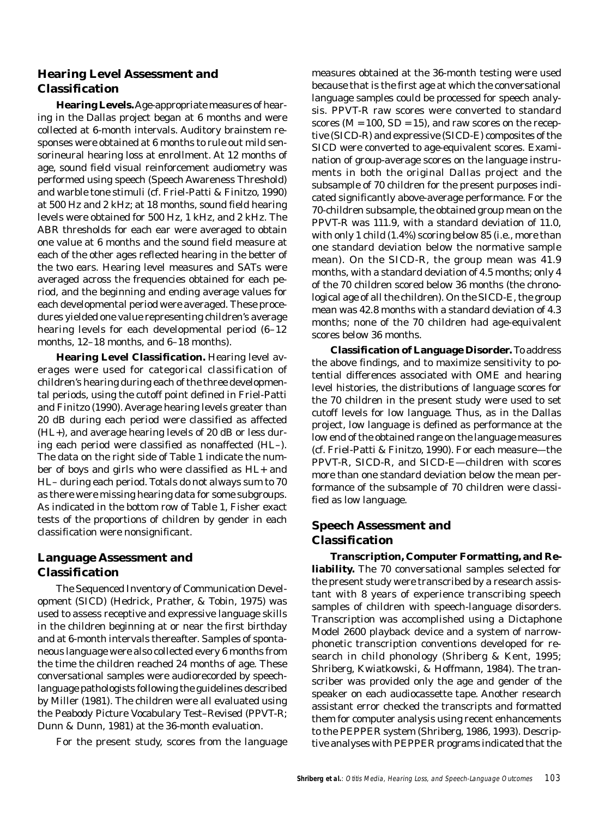## **Hearing Level Assessment and Classification**

**Hearing Levels.** Age-appropriate measures of hearing in the Dallas project began at 6 months and were collected at 6-month intervals. Auditory brainstem responses were obtained at 6 months to rule out mild sensorineural hearing loss at enrollment. At 12 months of age, sound field visual reinforcement audiometry was performed using speech (Speech Awareness Threshold) and warble tone stimuli (cf. Friel-Patti & Finitzo, 1990) at 500 Hz and 2 kHz; at 18 months, sound field hearing levels were obtained for 500 Hz, 1 kHz, and 2 kHz. The ABR thresholds for each ear were averaged to obtain one value at 6 months and the sound field measure at each of the other ages reflected hearing in the better of the two ears. Hearing level measures and SATs were averaged across the frequencies obtained for each period, and the beginning and ending average values for each developmental period were averaged. These procedures yielded one value representing children's average hearing levels for each developmental period (6–12 months, 12–18 months, and 6–18 months).

**Hearing Level Classification.** Hearing level averages were used for categorical classification of children's hearing during each of the three developmental periods, using the cutoff point defined in Friel-Patti and Finitzo (1990). Average hearing levels greater than 20 dB during each period were classified as affected (HL+), and average hearing levels of 20 dB or less during each period were classified as nonaffected (HL–). The data on the right side of Table 1 indicate the number of boys and girls who were classified as HL+ and HL– during each period. Totals do not always sum to 70 as there were missing hearing data for some subgroups. As indicated in the bottom row of Table 1, Fisher exact tests of the proportions of children by gender in each classification were nonsignificant.

## **Language Assessment and Classification**

The Sequenced Inventory of Communication Development (SICD) (Hedrick, Prather, & Tobin, 1975) was used to assess receptive and expressive language skills in the children beginning at or near the first birthday and at 6-month intervals thereafter. Samples of spontaneous language were also collected every 6 months from the time the children reached 24 months of age. These conversational samples were audiorecorded by speechlanguage pathologists following the guidelines described by Miller (1981). The children were all evaluated using the Peabody Picture Vocabulary Test–Revised (PPVT-R; Dunn & Dunn, 1981) at the 36-month evaluation.

For the present study, scores from the language

measures obtained at the 36-month testing were used because that is the first age at which the conversational language samples could be processed for speech analysis. PPVT-R raw scores were converted to standard scores ( $M = 100$ ,  $SD = 15$ ), and raw scores on the receptive (SICD-R) and expressive (SICD-E) composites of the SICD were converted to age-equivalent scores. Examination of group-average scores on the language instruments in both the original Dallas project and the subsample of 70 children for the present purposes indicated significantly above-average performance. For the 70-children subsample, the obtained group mean on the PPVT-R was 111.9, with a standard deviation of 11.0, with only 1 child (1.4%) scoring below 85 (i.e., more than one standard deviation below the normative sample mean). On the SICD-R, the group mean was 41.9 months, with a standard deviation of 4.5 months; only 4 of the 70 children scored below 36 months (the chronological age of all the children). On the SICD-E, the group mean was 42.8 months with a standard deviation of 4.3 months; none of the 70 children had age-equivalent scores below 36 months.

**Classification of Language Disorder.** To address the above findings, and to maximize sensitivity to potential differences associated with OME and hearing level histories, the distributions of language scores for the 70 children in the present study were used to set cutoff levels for *low language*. Thus, as in the Dallas project, low language is defined as performance at the low end of the obtained range on the language measures (cf. Friel-Patti & Finitzo, 1990). For each measure—the PPVT-R, SICD-R, and SICD-E—children with scores more than one standard deviation below the mean performance of the subsample of 70 children were classified as low language.

## **Speech Assessment and Classification**

**Transcription, Computer Formatting, and Reliability.** The 70 conversational samples selected for the present study were transcribed by a research assistant with 8 years of experience transcribing speech samples of children with speech-language disorders. Transcription was accomplished using a Dictaphone Model 2600 playback device and a system of narrowphonetic transcription conventions developed for research in child phonology (Shriberg & Kent, 1995; Shriberg, Kwiatkowski, & Hoffmann, 1984). The transcriber was provided only the age and gender of the speaker on each audiocassette tape. Another research assistant error checked the transcripts and formatted them for computer analysis using recent enhancements to the PEPPER system (Shriberg, 1986, 1993). Descriptive analyses with PEPPER programs indicated that the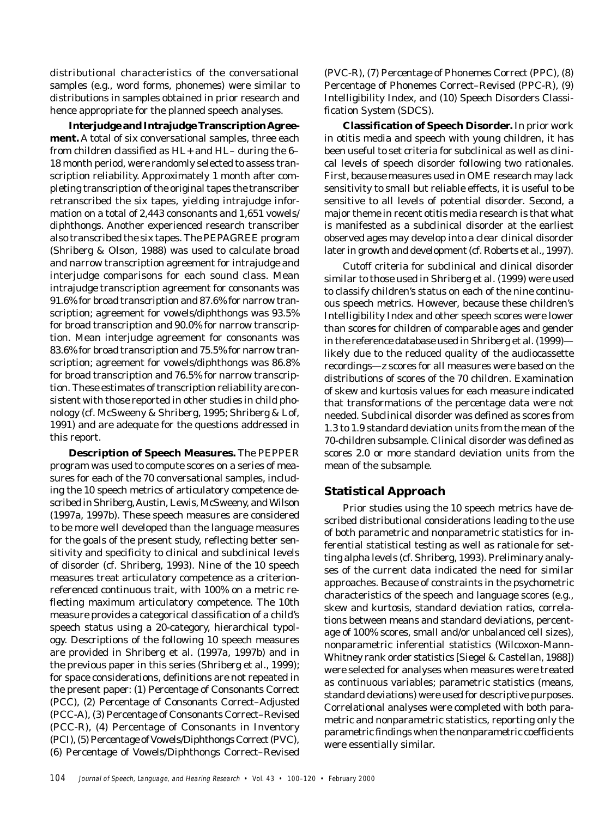distributional characteristics of the conversational samples (e.g., word forms, phonemes) were similar to distributions in samples obtained in prior research and hence appropriate for the planned speech analyses.

**Interjudge and Intrajudge Transcription Agreement.** A total of six conversational samples, three each from children classified as HL+ and HL– during the 6– 18 month period, were randomly selected to assess transcription reliability. Approximately 1 month after completing transcription of the original tapes the transcriber retranscribed the six tapes, yielding intrajudge information on a total of 2,443 consonants and 1,651 vowels/ diphthongs. Another experienced research transcriber also transcribed the six tapes. The PEPAGREE program (Shriberg & Olson, 1988) was used to calculate broad and narrow transcription agreement for intrajudge and interjudge comparisons for each sound class. Mean intrajudge transcription agreement for consonants was 91.6% for broad transcription and 87.6% for narrow transcription; agreement for vowels/diphthongs was 93.5% for broad transcription and 90.0% for narrow transcription. Mean interjudge agreement for consonants was 83.6% for broad transcription and 75.5% for narrow transcription; agreement for vowels/diphthongs was 86.8% for broad transcription and 76.5% for narrow transcription. These estimates of transcription reliability are consistent with those reported in other studies in child phonology (cf. McSweeny & Shriberg, 1995; Shriberg & Lof, 1991) and are adequate for the questions addressed in this report.

**Description of Speech Measures.** The PEPPER program was used to compute scores on a series of measures for each of the 70 conversational samples, including the 10 speech metrics of articulatory competence described in Shriberg, Austin, Lewis, McSweeny, and Wilson (1997a, 1997b). These speech measures are considered to be more well developed than the language measures for the goals of the present study, reflecting better sensitivity and specificity to clinical and subclinical levels of disorder (cf. Shriberg, 1993). Nine of the 10 speech measures treat articulatory competence as a criterionreferenced continuous trait, with 100% on a metric reflecting maximum articulatory competence. The 10th measure provides a categorical classification of a child's speech status using a 20-category, hierarchical typology. Descriptions of the following 10 speech measures are provided in Shriberg et al. (1997a, 1997b) and in the previous paper in this series (Shriberg et al., 1999); for space considerations, definitions are not repeated in the present paper: (1) Percentage of Consonants Correct (PCC), (2) Percentage of Consonants Correct–Adjusted (PCC-A), (3) Percentage of Consonants Correct–Revised (PCC-R), (4) Percentage of Consonants in Inventory (PCI), (5) Percentage of Vowels/Diphthongs Correct (PVC), (6) Percentage of Vowels/Diphthongs Correct–Revised (PVC-R), (7) Percentage of Phonemes Correct (PPC), (8) Percentage of Phonemes Correct–Revised (PPC-R), (9) Intelligibility Index, and (10) Speech Disorders Classification System (SDCS).

**Classification of Speech Disorder.** In prior work in otitis media and speech with young children, it has been useful to set criteria for subclinical as well as clinical levels of speech disorder following two rationales. First, because measures used in OME research may lack sensitivity to small but reliable effects, it is useful to be sensitive to all levels of potential disorder. Second, a major theme in recent otitis media research is that what is manifested as a subclinical disorder at the earliest observed ages may develop into a clear clinical disorder later in growth and development (cf. Roberts et al., 1997).

Cutoff criteria for subclinical and clinical disorder similar to those used in Shriberg et al. (1999) were used to classify children's status on each of the nine continuous speech metrics. However, because these children's Intelligibility Index and other speech scores were lower than scores for children of comparable ages and gender in the reference database used in Shriberg et al. (1999) likely due to the reduced quality of the audiocassette recordings—*z* scores for all measures were based on the distributions of scores of the 70 children. Examination of skew and kurtosis values for each measure indicated that transformations of the percentage data were not needed. *Subclinical* disorder was defined as scores from 1.3 to 1.9 standard deviation units from the mean of the 70-children subsample. *Clinical* disorder was defined as scores 2.0 or more standard deviation units from the mean of the subsample.

#### **Statistical Approach**

Prior studies using the 10 speech metrics have described distributional considerations leading to the use of both parametric and nonparametric statistics for inferential statistical testing as well as rationale for setting alpha levels (cf. Shriberg, 1993). Preliminary analyses of the current data indicated the need for similar approaches. Because of constraints in the psychometric characteristics of the speech and language scores (e.g., skew and kurtosis, standard deviation ratios, correlations between means and standard deviations, percentage of 100% scores, small and/or unbalanced cell sizes), nonparametric inferential statistics (Wilcoxon-Mann-Whitney rank order statistics [Siegel & Castellan, 1988]) were selected for analyses when measures were treated as continuous variables; parametric statistics (means, standard deviations) were used for descriptive purposes. Correlational analyses were completed with both parametric and nonparametric statistics, reporting only the parametric findings when the nonparametric coefficients were essentially similar.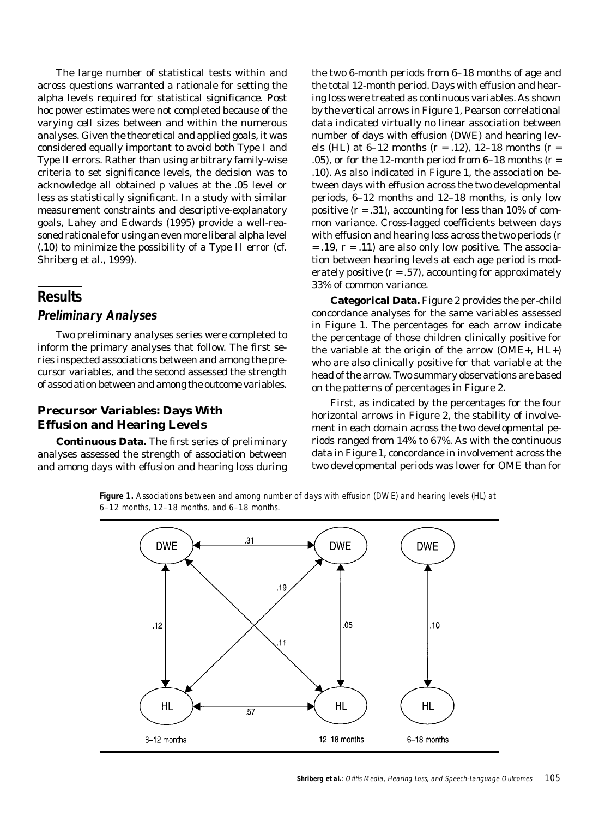The large number of statistical tests within and across questions warranted a rationale for setting the alpha levels required for statistical significance. Post hoc power estimates were not completed because of the varying cell sizes between and within the numerous analyses. Given the theoretical and applied goals, it was considered equally important to avoid both Type I and Type II errors. Rather than using arbitrary family-wise criteria to set significance levels, the decision was to acknowledge all obtained *p* values at the .05 level or less as statistically significant. In a study with similar measurement constraints and descriptive-explanatory goals, Lahey and Edwards (1995) provide a well-reasoned rationale for using an even more liberal alpha level (.10) to minimize the possibility of a Type II error (cf. Shriberg et al., 1999).

# **Results**

#### **Preliminary Analyses**

Two preliminary analyses series were completed to inform the primary analyses that follow. The first series inspected associations between and among the precursor variables, and the second assessed the strength of association between and among the outcome variables.

## **Precursor Variables: Days With Effusion and Hearing Levels**

**Continuous Data.** The first series of preliminary analyses assessed the strength of association between and among days with effusion and hearing loss during

the two 6-month periods from 6–18 months of age and the total 12-month period. Days with effusion and hearing loss were treated as continuous variables. As shown by the vertical arrows in Figure 1, Pearson correlational data indicated virtually no linear association between number of days with effusion (DWE) and hearing levels (HL) at 6–12 months (*r* = .12), 12–18 months (*r* = .05), or for the 12-month period from  $6-18$  months ( $r =$ .10). As also indicated in Figure 1, the association between days with effusion across the two developmental periods, 6–12 months and 12–18 months, is only low positive  $(r = .31)$ , accounting for less than 10% of common variance. Cross-lagged coefficients between days with effusion and hearing loss across the two periods (*r* = .19, *r* = .11) are also only low positive. The association between hearing levels at each age period is moderately positive  $(r = .57)$ , accounting for approximately 33% of common variance.

**Categorical Data.** Figure 2 provides the per-child concordance analyses for the same variables assessed in Figure 1. The percentages for each arrow indicate the percentage of those children clinically positive for the variable at the origin of the arrow (OME+, HL+) who are also clinically positive for that variable at the head of the arrow. Two summary observations are based on the patterns of percentages in Figure 2.

First, as indicated by the percentages for the four horizontal arrows in Figure 2, the stability of involvement in each domain across the two developmental periods ranged from 14% to 67%. As with the continuous data in Figure 1, concordance in involvement across the two developmental periods was lower for OME than for

**Figure 1.** Associations between and among number of days with effusion (DWE) and hearing levels (HL) at 6–12 months, 12–18 months, and 6–18 months.

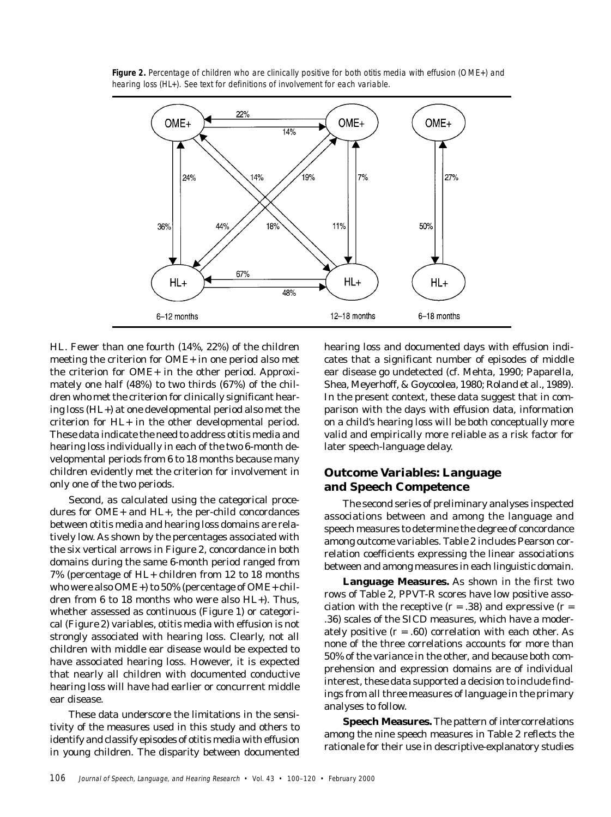

**Figure 2.** Percentage of children who are clinically positive for both otitis media with effusion (OME+) and hearing loss (HL+). See text for definitions of involvement for each variable.

HL. Fewer than one fourth (14%, 22%) of the children meeting the criterion for OME+ in one period also met the criterion for OME+ in the other period. Approximately one half (48%) to two thirds (67%) of the children who met the criterion for clinically significant hearing loss (HL+) at one developmental period also met the criterion for HL+ in the other developmental period. These data indicate the need to address otitis media and hearing loss individually in each of the two 6-month developmental periods from 6 to 18 months because many children evidently met the criterion for involvement in only one of the two periods.

Second, as calculated using the categorical procedures for OME+ and HL+, the per-child concordances between otitis media and hearing loss domains are relatively low. As shown by the percentages associated with the six vertical arrows in Figure 2, concordance in both domains during the same 6-month period ranged from 7% (percentage of HL+ children from 12 to 18 months who were also OME+) to 50% (percentage of OME+ children from 6 to 18 months who were also HL+). Thus, whether assessed as continuous (Figure 1) or categorical (Figure 2) variables, otitis media with effusion is not strongly associated with hearing loss. Clearly, not all children with middle ear disease would be expected to have associated hearing loss. However, it is expected that nearly all children with documented conductive hearing loss will have had earlier or concurrent middle ear disease.

These data underscore the limitations in the sensitivity of the measures used in this study and others to identify and classify episodes of otitis media with effusion in young children. The disparity between documented hearing loss and documented days with effusion indicates that a significant number of episodes of middle ear disease go undetected (cf. Mehta, 1990; Paparella, Shea, Meyerhoff, & Goycoolea, 1980; Roland et al., 1989). In the present context, these data suggest that in comparison with the days with effusion data, information on a child's hearing loss will be both conceptually more valid and empirically more reliable as a risk factor for later speech-language delay.

# **Outcome Variables: Language and Speech Competence**

The second series of preliminary analyses inspected associations between and among the language and speech measures to determine the degree of concordance among outcome variables. Table 2 includes Pearson correlation coefficients expressing the linear associations between and among measures in each linguistic domain.

**Language Measures.** As shown in the first two rows of Table 2, PPVT-R scores have low positive association with the receptive  $(r = .38)$  and expressive  $(r = .36)$ .36) scales of the SICD measures, which have a moderately positive  $(r = .60)$  correlation with each other. As none of the three correlations accounts for more than 50% of the variance in the other, and because both comprehension and expression domains are of individual interest, these data supported a decision to include findings from all three measures of language in the primary analyses to follow.

**Speech Measures.** The pattern of intercorrelations among the nine speech measures in Table 2 reflects the rationale for their use in descriptive-explanatory studies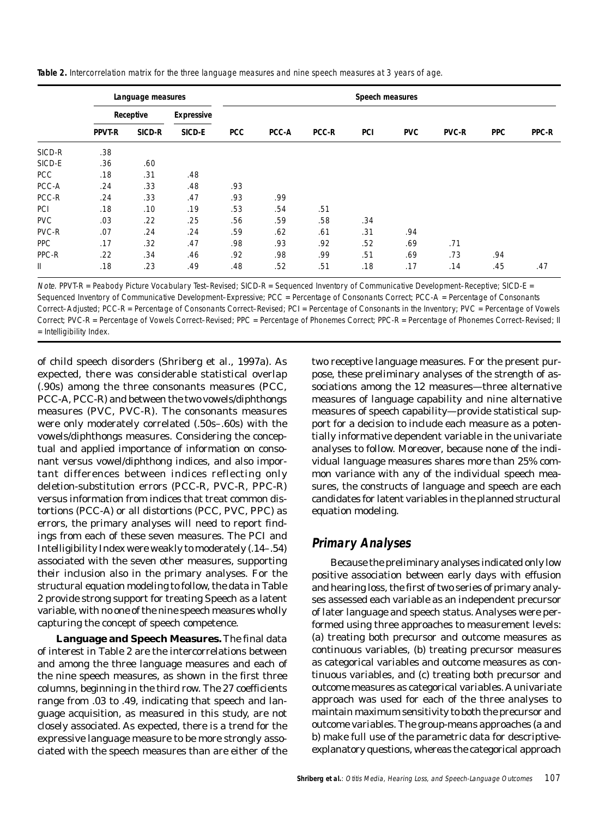**Table 2.** Intercorrelation matrix for the three language measures and nine speech measures at 3 years of age.

|            |               | Language measures |                   | Speech measures |       |              |     |            |              |            |       |  |
|------------|---------------|-------------------|-------------------|-----------------|-------|--------------|-----|------------|--------------|------------|-------|--|
|            |               | Receptive         | <b>Expressive</b> |                 |       |              |     |            |              |            |       |  |
|            | <b>PPVT-R</b> | SICD-R            | SICD-E            | <b>PCC</b>      | PCC-A | <b>PCC-R</b> | PCI | <b>PVC</b> | <b>PVC-R</b> | <b>PPC</b> | PPC-R |  |
| SICD-R     | .38           |                   |                   |                 |       |              |     |            |              |            |       |  |
| SICD-E     | .36           | .60               |                   |                 |       |              |     |            |              |            |       |  |
| <b>PCC</b> | .18           | .31               | .48               |                 |       |              |     |            |              |            |       |  |
| PCC-A      | .24           | .33               | .48               | .93             |       |              |     |            |              |            |       |  |
| PCC-R      | .24           | .33               | .47               | .93             | .99   |              |     |            |              |            |       |  |
| PCI        | .18           | .10               | .19               | .53             | .54   | .51          |     |            |              |            |       |  |
| <b>PVC</b> | .03           | .22               | .25               | .56             | .59   | .58          | .34 |            |              |            |       |  |
| PVC-R      | .07           | .24               | .24               | .59             | .62   | .61          | .31 | .94        |              |            |       |  |
| <b>PPC</b> | .17           | .32               | .47               | .98             | .93   | .92          | .52 | .69        | .71          |            |       |  |
| PPC-R      | .22           | .34               | .46               | .92             | .98   | .99          | .51 | .69        | .73          | .94        |       |  |
| Ш          | .18           | .23               | .49               | .48             | .52   | .51          | .18 | .17        | .14          | .45        | .47   |  |

Note. PPVT-R = Peabody Picture Vocabulary Test–Revised; SICD-R = Sequenced Inventory of Communicative Development–Receptive; SICD-E =

Sequenced Inventory of Communicative Development–Expressive; PCC = Percentage of Consonants Correct; PCC-A = Percentage of Consonants Correct–Adjusted; PCC-R = Percentage of Consonants Correct–Revised; PCI = Percentage of Consonants in the Inventory; PVC = Percentage of Vowels Correct; PVC-R = Percentage of Vowels Correct–Revised; PPC = Percentage of Phonemes Correct; PPC-R = Percentage of Phonemes Correct–Revised; II = Intelligibility Index.

of child speech disorders (Shriberg et al., 1997a). As expected, there was considerable statistical overlap (.90s) among the three consonants measures (PCC, PCC-A, PCC-R) and between the two vowels/diphthongs measures (PVC, PVC-R). The consonants measures were only moderately correlated (.50s–.60s) with the vowels/diphthongs measures. Considering the conceptual and applied importance of information on consonant versus vowel/diphthong indices, and also important differences between indices reflecting only deletion-substitution errors (PCC-R, PVC-R, PPC-R) versus information from indices that treat common distortions (PCC-A) or all distortions (PCC, PVC, PPC) as errors, the primary analyses will need to report findings from each of these seven measures. The PCI and Intelligibility Index were weakly to moderately (.14–.54) associated with the seven other measures, supporting their inclusion also in the primary analyses. For the structural equation modeling to follow, the data in Table 2 provide strong support for treating Speech as a latent variable, with no one of the nine speech measures wholly capturing the concept of speech competence.

**Language and Speech Measures.** The final data of interest in Table 2 are the intercorrelations between and among the three language measures and each of the nine speech measures, as shown in the first three columns, beginning in the third row. The 27 coefficients range from .03 to .49, indicating that speech and language acquisition, as measured in this study, are not closely associated. As expected, there is a trend for the expressive language measure to be more strongly associated with the speech measures than are either of the

two receptive language measures. For the present purpose, these preliminary analyses of the strength of associations among the 12 measures—three alternative measures of language capability and nine alternative measures of speech capability—provide statistical support for a decision to include each measure as a potentially informative dependent variable in the univariate analyses to follow. Moreover, because none of the individual language measures shares more than 25% common variance with any of the individual speech measures, the constructs of language and speech are each candidates for latent variables in the planned structural equation modeling.

# **Primary Analyses**

Because the preliminary analyses indicated only low positive association between early days with effusion and hearing loss, the first of two series of primary analyses assessed each variable as an independent precursor of later language and speech status. Analyses were performed using three approaches to measurement levels: (a) treating both precursor and outcome measures as continuous variables, (b) treating precursor measures as categorical variables and outcome measures as continuous variables, and (c) treating both precursor and outcome measures as categorical variables. A univariate approach was used for each of the three analyses to maintain maximum sensitivity to both the precursor and outcome variables. The group-means approaches (a and b) make full use of the parametric data for descriptiveexplanatory questions, whereas the categorical approach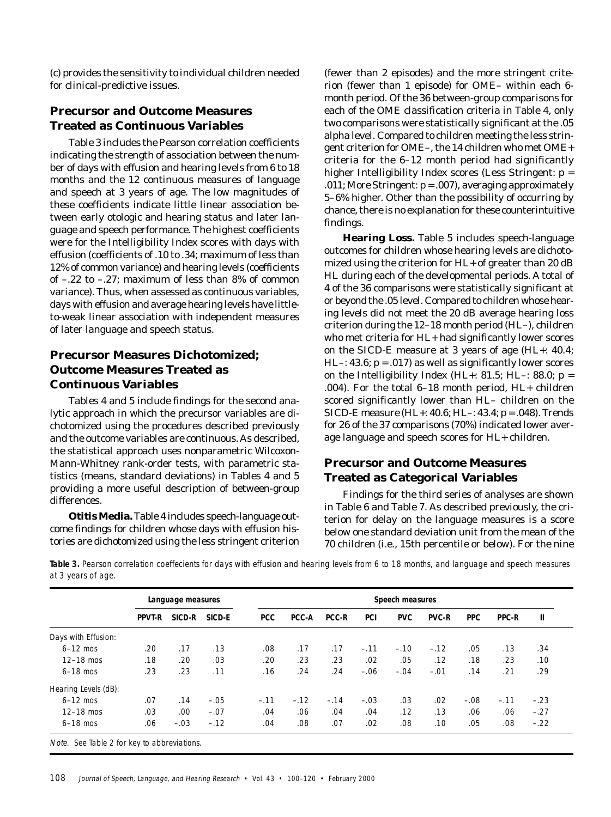(c) provides the sensitivity to individual children needed for clinical-predictive issues.

# **Precursor and Outcome Measures Treated as Continuous Variables**

Table 3 includes the Pearson correlation coefficients indicating the strength of association between the number of days with effusion and hearing levels from 6 to 18 months and the 12 continuous measures of language and speech at 3 years of age. The low magnitudes of these coefficients indicate little linear association between early otologic and hearing status and later language and speech performance. The highest coefficients were for the Intelligibility Index scores with days with effusion (coefficients of .10 to .34; maximum of less than 12% of common variance) and hearing levels (coefficients of –.22 to –.27; maximum of less than 8% of common variance). Thus, when assessed as continuous variables, days with effusion and average hearing levels have littleto-weak linear association with independent measures of later language and speech status.

# **Precursor Measures Dichotomized; Outcome Measures Treated as Continuous Variables**

Tables 4 and 5 include findings for the second analytic approach in which the precursor variables are dichotomized using the procedures described previously and the outcome variables are continuous. As described, the statistical approach uses nonparametric Wilcoxon-Mann-Whitney rank-order tests, with parametric statistics (means, standard deviations) in Tables 4 and 5 providing a more useful description of between-group differences.

**Otitis Media.** Table 4 includes speech-language outcome findings for children whose days with effusion histories are dichotomized using the less stringent criterion (fewer than 2 episodes) and the more stringent criterion (fewer than 1 episode) for OME– within each 6 month period. Of the 36 between-group comparisons for each of the OME classification criteria in Table 4, only two comparisons were statistically significant at the .05 alpha level. Compared to children meeting the less stringent criterion for OME–, the 14 children who met OME+ criteria for the 6–12 month period had significantly higher Intelligibility Index scores (Less Stringent: *p* = .011; More Stringent: *p* = .007), averaging approximately 5–6% higher. Other than the possibility of occurring by chance, there is no explanation for these counterintuitive findings.

**Hearing Loss.** Table 5 includes speech-language outcomes for children whose hearing levels are dichotomized using the criterion for HL+ of greater than 20 dB HL during each of the developmental periods. A total of 4 of the 36 comparisons were statistically significant at or beyond the .05 level. Compared to children whose hearing levels did not meet the 20 dB average hearing loss criterion during the 12–18 month period (HL–), children who met criteria for HL+ had significantly lower scores on the SICD-E measure at 3 years of age (HL+: 40.4; HL $-$ : 43.6;  $p = .017$ ) as well as significantly lower scores on the Intelligibility Index (HL+: 81.5; HL–: 88.0; *p* = .004). For the total 6–18 month period, HL+ children scored significantly lower than HL– children on the SICD-E measure (HL+: 40.6; HL–: 43.4; *p* = .048). Trends for 26 of the 37 comparisons (70%) indicated lower average language and speech scores for HL+ children.

## **Precursor and Outcome Measures Treated as Categorical Variables**

Findings for the third series of analyses are shown in Table 6 and Table 7. As described previously, the criterion for delay on the language measures is a score below one standard deviation unit from the mean of the 70 children (i.e., 15th percentile or below). For the nine

**Table 3.** Pearson correlation coeffecients for days with effusion and hearing levels from 6 to 18 months, and language and speech measures at 3 years of age.

|                      |               | Language measures |        | Speech measures |              |              |            |            |              |            |              |        |
|----------------------|---------------|-------------------|--------|-----------------|--------------|--------------|------------|------------|--------------|------------|--------------|--------|
|                      | <b>PPVT-R</b> | SICD-R            | SICD-E | <b>PCC</b>      | <b>PCC-A</b> | <b>PCC-R</b> | <b>PCI</b> | <b>PVC</b> | <b>PVC-R</b> | <b>PPC</b> | <b>PPC-R</b> | Ш      |
| Days with Effusion:  |               |                   |        |                 |              |              |            |            |              |            |              |        |
| $6-12$ mos           | .20           | .17               | .13    | .08             | .17          | .17          | $-.11$     | $-.10$     | $-.12$       | .05        | .13          | .34    |
| $12-18$ mos          | .18           | .20               | .03    | .20             | .23          | .23          | .02        | .05        | .12          | .18        | .23          | .10    |
| $6-18$ mos           | .23           | .23               | .11    | .16             | .24          | .24          | $-.06$     | $-.04$     | $-.01$       | .14        | .21          | .29    |
| Hearing Levels (dB): |               |                   |        |                 |              |              |            |            |              |            |              |        |
| $6-12$ mos           | .07           | .14               | $-.05$ | $-.11$          | $-.12$       | $-.14$       | $-.03$     | .03        | .02          | $-.08$     | $-.11$       | $-.23$ |
| $12-18$ mos          | .03           | .00.              | $-.07$ | .04             | .06          | .04          | .04        | .12        | .13          | .06        | .06          | $-.27$ |
| $6-18$ mos           | .06           | $-.03$            | $-.12$ | .04             | .08          | .07          | .02        | .08        | .10          | .05        | .08          | $-.22$ |

Note. See Table 2 for key to abbreviations.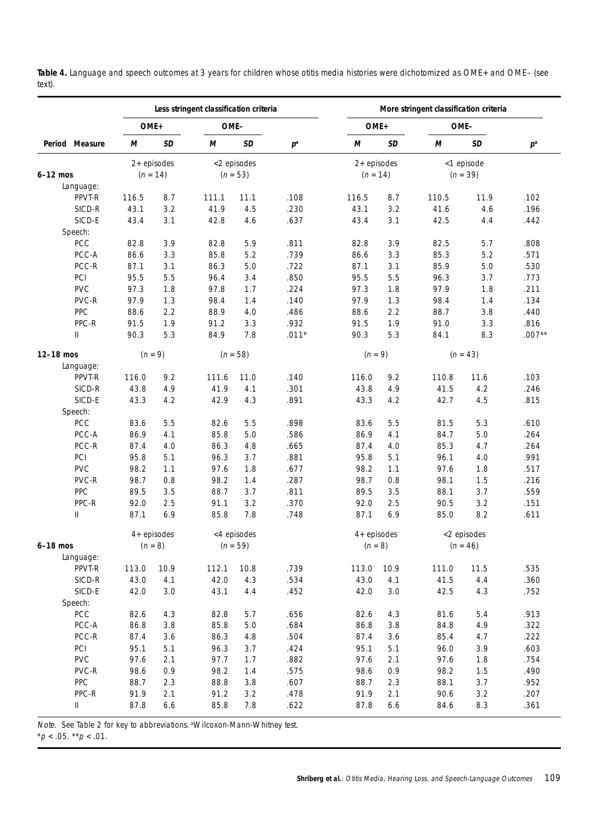|                        |       |               | Less stringent classification criteria |             |                  |               |         | More stringent classification criteria |             |          |
|------------------------|-------|---------------|----------------------------------------|-------------|------------------|---------------|---------|----------------------------------------|-------------|----------|
|                        |       | OME+          | OME-                                   |             |                  | OME+          |         | OME-                                   |             |          |
| Period Measure         | М     | SD            | М                                      | <b>SD</b>   | $p^{\mathrm{a}}$ | М             | SD      | М                                      | SD          | $p^a$    |
|                        |       | $2+$ episodes |                                        | <2 episodes |                  | $2+$ episodes |         |                                        | <1 episode  |          |
| $6-12$ mos             |       | $(n = 14)$    |                                        | $(n = 53)$  |                  | $(n = 14)$    |         |                                        | $(n = 39)$  |          |
| Language:              |       |               |                                        |             |                  |               |         |                                        |             |          |
| PPVT-R                 | 116.5 | 8.7           | 111.1                                  | 11.1        | .108             | 116.5         | 8.7     | 110.5                                  | 11.9        | .102     |
| SICD-R                 | 43.1  | 3.2           | 41.9                                   | 4.5         | .230             | 43.1          | 3.2     | 41.6                                   | 4.6         | .196     |
| SICD-E                 | 43.4  | 3.1           | 42.8                                   | 4.6         | .637             | 43.4          | 3.1     | 42.5                                   | 4.4         | .442     |
| Speech:                |       |               |                                        |             |                  |               |         |                                        |             |          |
| <b>PCC</b>             | 82.8  | 3.9           | 82.8                                   | 5.9         | .811             | 82.8          | 3.9     | 82.5                                   | 5.7         | .808     |
| PCC-A                  | 86.6  | 3.3           | 85.8                                   | 5.2         | .739             | 86.6          | 3.3     | 85.3                                   | 5.2         | .571     |
| PCC-R                  | 87.1  | 3.1           | 86.3                                   | 5.0         | .722             | 87.1          | 3.1     | 85.9                                   | 5.0         | .530     |
| PCI                    | 95.5  | 5.5           | 96.4                                   | 3.4         | .850             | 95.5          | 5.5     | 96.3                                   | 3.7         | .773     |
| <b>PVC</b>             | 97.3  | 1.8           | 97.8                                   | 1.7         | .224             | 97.3          | 1.8     | 97.9                                   | 1.8         | .211     |
| PVC-R                  | 97.9  | 1.3           | 98.4                                   | 1.4         | .140             | 97.9          | 1.3     | 98.4                                   | 1.4         | .134     |
| PPC                    | 88.6  | 2.2           | 88.9                                   | 4.0         | .486             | 88.6          | 2.2     | 88.7                                   | 3.8         | .440     |
| PPC-R                  | 91.5  | 1.9           | 91.2                                   | 3.3         | .932             | 91.5          | 1.9     | 91.0                                   | 3.3         | .816     |
| $\mathsf{I}\mathsf{I}$ | 90.3  | 5.3           | 84.9                                   | 7.8         | $.011*$          | 90.3          | 5.3     | 84.1                                   | 8.3         | $.007**$ |
| 12-18 mos              |       | $(n = 9)$     |                                        | $(n = 58)$  |                  | $(n = 9)$     |         |                                        | $(n = 43)$  |          |
| Language:              |       |               |                                        |             |                  |               |         |                                        |             |          |
| PPVT-R                 | 116.0 | 9.2           | 111.6                                  | 11.0        | .140             | 116.0         | 9.2     | 110.8                                  | 11.6        | .103     |
| SICD-R                 | 43.8  | 4.9           | 41.9                                   | 4.1         | .301             | 43.8          | 4.9     | 41.5                                   | 4.2         | .246     |
| SICD-E                 | 43.3  | 4.2           | 42.9                                   | 4.3         | .891             | 43.3          | 4.2     | 42.7                                   | 4.5         | .815     |
| Speech:                |       |               |                                        |             |                  |               |         |                                        |             |          |
| <b>PCC</b>             | 83.6  | 5.5           | 82.6                                   | 5.5         | .898             | 83.6          | 5.5     | 81.5                                   | 5.3         | .610     |
| PCC-A                  | 86.9  | 4.1           | 85.8                                   | 5.0         | .586             | 86.9          | 4.1     | 84.7                                   | 5.0         | .264     |
| PCC-R                  | 87.4  | 4.0           | 86.3                                   | 4.8         | .665             | 87.4          | 4.0     | 85.3                                   | 4.7         | .264     |
| PCI                    | 95.8  | 5.1           | 96.3                                   | 3.7         | .881             | 95.8          | 5.1     | 96.1                                   | 4.0         | .991     |
| <b>PVC</b>             | 98.2  | 1.1           | 97.6                                   | 1.8         | .677             | 98.2          | 1.1     | 97.6                                   | 1.8         | .517     |
| PVC-R                  | 98.7  | 0.8           | 98.2                                   | 1.4         | .287             | 98.7          | 0.8     | 98.1                                   | 1.5         | .216     |
| PPC                    | 89.5  | 3.5           | 88.7                                   | 3.7         | .811             | 89.5          | 3.5     | 88.1                                   | 3.7         | .559     |
| PPC-R                  | 92.0  | 2.5           | 91.1                                   | 3.2         | .370             | 92.0          | 2.5     | 90.5                                   | 3.2         | .151     |
| $\mathsf{I}\mathsf{I}$ | 87.1  | 6.9           | 85.8                                   | 7.8         | .748             | 87.1          | 6.9     | 85.0                                   | 8.2         | .611     |
|                        |       | $4+$ episodes |                                        | <4 episodes |                  | $4+$ episodes |         |                                        | <2 episodes |          |
| $6-18$ mos             |       | $(n = 8)$     |                                        | $(n = 59)$  |                  | $(n = 8)$     |         |                                        | $(n = 46)$  |          |
| Language:              |       |               |                                        |             |                  |               |         |                                        |             |          |
| PPVT-R                 | 113.0 | 10.9          | 112.1                                  | 10.8        | .739             | 113.0         | 10.9    | 111.0                                  | 11.5        | .535     |
| SICD-R                 | 43.0  | 4.1           | 42.0                                   | 4.3         | .534             | 43.0          | 4.1     | 41.5                                   | 4.4         | .360     |
| SICD-E                 | 42.0  | 3.0           | 43.1                                   | 4.4         | .452             | 42.0          | $3.0\,$ | 42.5                                   | 4.3         | .752     |
| Speech:                |       |               |                                        |             |                  |               |         |                                        |             |          |
| PCC                    | 82.6  | 4.3           | 82.8                                   | 5.7         | .656             | 82.6          | 4.3     | 81.6                                   | 5.4         | .913     |
| PCC-A                  | 86.8  | 3.8           | 85.8                                   | 5.0         | .684             | 86.8          | 3.8     | 84.8                                   | 4.9         | .322     |
| PCC-R                  | 87.4  | 3.6           | 86.3                                   | 4.8         | .504             | 87.4          | 3.6     | 85.4                                   | 4.7         | .222     |
| PCI                    | 95.1  | 5.1           | 96.3                                   | 3.7         | .424             | 95.1          | 5.1     | 96.0                                   | 3.9         | .603     |
| <b>PVC</b>             | 97.6  | 2.1           | 97.7                                   | 1.7         | .882             | 97.6          | 2.1     | 97.6                                   | 1.8         | .754     |
| PVC-R                  | 98.6  | 0.9           | 98.2                                   | 1.4         | .575             | 98.6          | 0.9     | 98.2                                   | 1.5         | .490     |
| PPC                    | 88.7  | 2.3           | 88.8                                   | 3.8         | .607             | 88.7          | 2.3     | 88.1                                   | 3.7         | .952     |
| PPC-R                  | 91.9  | 2.1           | 91.2                                   | 3.2         | .478             | 91.9          | 2.1     | 90.6                                   | 3.2         | .207     |
| II                     | 87.8  | 6.6           | 85.8                                   | 7.8         | .622             | 87.8          | 6.6     | 84.6                                   | 8.3         | .361     |

**Table 4.** Language and speech outcomes at 3 years for children whose otitis media histories were dichotomized as OME+ and OME– (see text).

Note. See Table 2 for key to abbreviations. aWilcoxon-Mann-Whitney test.

 $*p < .05.$   $*p < .01.$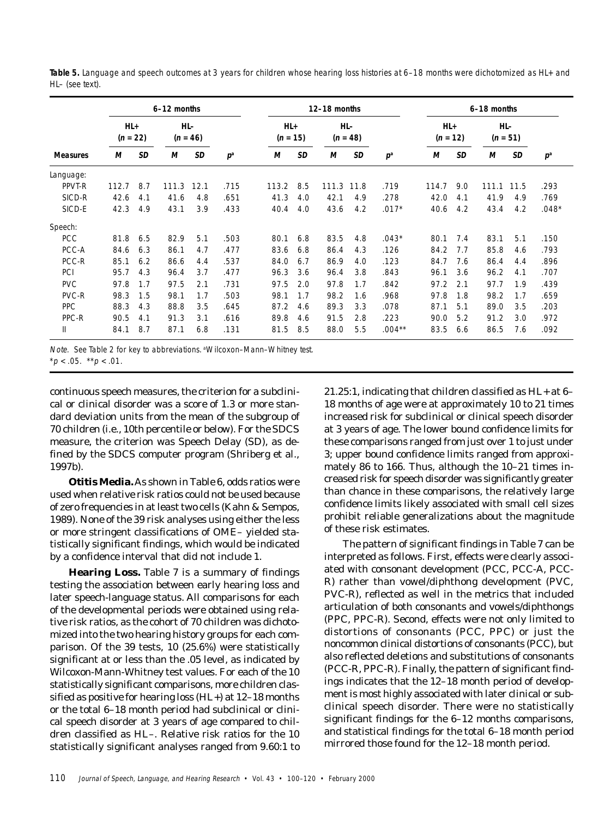|                 |                     |     | 6-12 months |                   |       |                   |     | 12-18 months |                     |          | 6-18 months       |     |                   |           |         |
|-----------------|---------------------|-----|-------------|-------------------|-------|-------------------|-----|--------------|---------------------|----------|-------------------|-----|-------------------|-----------|---------|
|                 | $HL+$<br>$(n = 22)$ |     |             | HL-<br>$(n = 46)$ |       | HL+<br>$(n = 15)$ |     |              | $HL-$<br>$(n = 48)$ |          | HL+<br>$(n = 12)$ |     | HL-<br>$(n = 51)$ |           |         |
| <b>Measures</b> | М                   | SD  | м           | SD                | $p^a$ | М                 | SD  | М            | <b>SD</b>           | $p^a$    | М                 | SD  | М                 | <b>SD</b> | $p^a$   |
| Language:       |                     |     |             |                   |       |                   |     |              |                     |          |                   |     |                   |           |         |
| PPVT-R          | 112.7               | 8.7 | 111.3       | 12.1              | .715  | 113.2             | 8.5 | 111.3        | 11.8                | .719     | 114.7             | 9.0 | 111.1             | 11.5      | .293    |
| SICD-R          | 42.6                | 4.1 | 41.6        | 4.8               | .651  | 41.3              | 4.0 | 42.1         | 4.9                 | .278     | 42.0              | 4.1 | 41.9              | 4.9       | .769    |
| SICD-E          | 42.3                | 4.9 | 43.1        | 3.9               | .433  | 40.4              | 4.0 | 43.6         | 4.2                 | $.017*$  | 40.6              | 4.2 | 43.4              | 4.2       | $.048*$ |
| Speech:         |                     |     |             |                   |       |                   |     |              |                     |          |                   |     |                   |           |         |
| <b>PCC</b>      | 81.8                | 6.5 | 82.9        | 5.1               | .503  | 80.1              | 6.8 | 83.5         | 4.8                 | $.043*$  | 80.1              | 7.4 | 83.1              | 5.1       | .150    |
| PCC-A           | 84.6                | 6.3 | 86.1        | 4.7               | .477  | 83.6              | 6.8 | 86.4         | 4.3                 | .126     | 84.2              | 7.7 | 85.8              | 4.6       | .793    |
| PCC-R           | 85.1                | 6.2 | 86.6        | 4.4               | .537  | 84.0              | 6.7 | 86.9         | 4.0                 | .123     | 84.7              | 7.6 | 86.4              | 4.4       | .896    |
| <b>PCI</b>      | 95.7                | 4.3 | 96.4        | 3.7               | .477  | 96.3              | 3.6 | 96.4         | 3.8                 | .843     | 96.1              | 3.6 | 96.2              | 4.1       | .707    |
| <b>PVC</b>      | 97.8                | 1.7 | 97.5        | 2.1               | .731  | 97.5              | 2.0 | 97.8         | 1.7                 | .842     | 97.2              | 2.1 | 97.7              | 1.9       | .439    |
| PVC-R           | 98.3                | 1.5 | 98.1        | 1.7               | .503  | 98.1              | 1.7 | 98.2         | 1.6                 | .968     | 97.8              | 1.8 | 98.2              | 1.7       | .659    |
| PPC             | 88.3                | 4.3 | 88.8        | 3.5               | .645  | 87.2              | 4.6 | 89.3         | 3.3                 | .078     | 87.1              | 5.1 | 89.0              | 3.5       | .203    |
| PPC-R           | 90.5                | 4.1 | 91.3        | 3.1               | .616  | 89.8              | 4.6 | 91.5         | 2.8                 | .223     | 90.0              | 5.2 | 91.2              | 3.0       | .972    |
| Ш               | 84.1                | 8.7 | 87.1        | 6.8               | .131  | 81.5              | 8.5 | 88.0         | 5.5                 | $.004**$ | 83.5              | 6.6 | 86.5              | 7.6       | .092    |

**Table 5.** Language and speech outcomes at 3 years for children whose hearing loss histories at 6–18 months were dichotomized as HL+ and HL– (see text).

Note. See Table 2 for key to abbreviations. <sup>a</sup>Wilcoxon-Mann-Whitney test.

continuous speech measures, the criterion for a subclinical or clinical disorder was a score of 1.3 or more standard deviation units from the mean of the subgroup of 70 children (i.e., 10th percentile or below). For the SDCS measure, the criterion was Speech Delay (SD), as defined by the SDCS computer program (Shriberg et al., 1997b).

**Otitis Media.** As shown in Table 6, odds ratios were used when relative risk ratios could not be used because of zero frequencies in at least two cells (Kahn & Sempos, 1989). None of the 39 risk analyses using either the less or more stringent classifications of OME– yielded statistically significant findings, which would be indicated by a confidence interval that did not include 1.

**Hearing Loss.** Table 7 is a summary of findings testing the association between early hearing loss and later speech-language status. All comparisons for each of the developmental periods were obtained using relative risk ratios, as the cohort of 70 children was dichotomized into the two hearing history groups for each comparison. Of the 39 tests, 10 (25.6%) were statistically significant at or less than the .05 level, as indicated by Wilcoxon-Mann-Whitney test values. For each of the 10 statistically significant comparisons, more children classified as positive for hearing loss (HL+) at 12–18 months or the total 6–18 month period had subclinical or clinical speech disorder at 3 years of age compared to children classified as HL–. Relative risk ratios for the 10 statistically significant analyses ranged from 9.60:1 to

21.25:1, indicating that children classified as HL+ at 6– 18 months of age were at approximately 10 to 21 times increased risk for subclinical or clinical speech disorder at 3 years of age. The lower bound confidence limits for these comparisons ranged from just over 1 to just under 3; upper bound confidence limits ranged from approximately 86 to 166. Thus, although the 10–21 times increased risk for speech disorder was significantly greater than chance in these comparisons, the relatively large confidence limits likely associated with small cell sizes prohibit reliable generalizations about the magnitude of these risk estimates.

The pattern of significant findings in Table 7 can be interpreted as follows. First, effects were clearly associated with consonant development (PCC, PCC-A, PCC-R) rather than vowel/diphthong development (PVC, PVC-R), reflected as well in the metrics that included articulation of both consonants and vowels/diphthongs (PPC, PPC-R). Second, effects were not only limited to distortions of consonants (PCC, PPC) or just the noncommon clinical distortions of consonants (PCC), but also reflected deletions and substitutions of consonants (PCC-R, PPC-R). Finally, the pattern of significant findings indicates that the 12–18 month period of development is most highly associated with later clinical or subclinical speech disorder. There were no statistically significant findings for the 6–12 months comparisons, and statistical findings for the total 6–18 month period mirrored those found for the 12–18 month period.

 $*p < .05.$  \*\*  $p < .01.$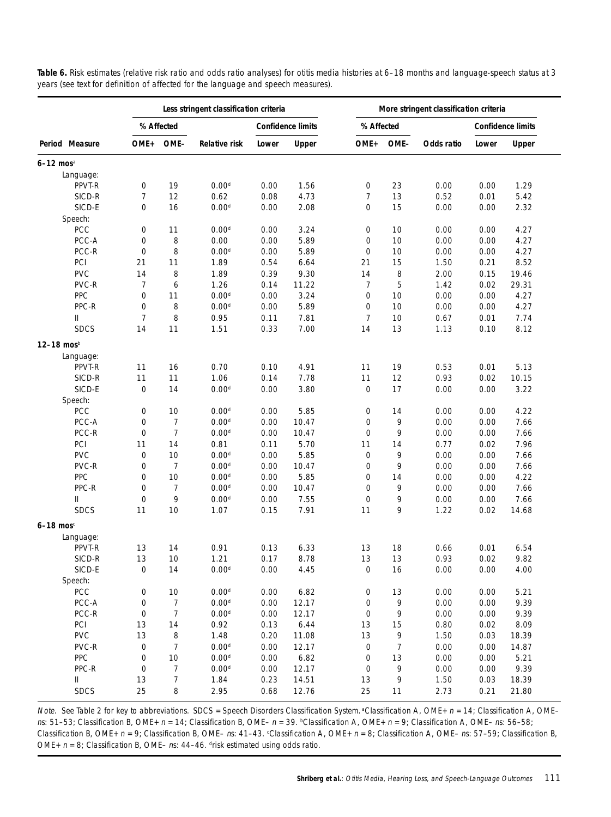|                           |                  |                | Less stringent classification criteria |       |                          |                |        | More stringent classification criteria |       |                          |
|---------------------------|------------------|----------------|----------------------------------------|-------|--------------------------|----------------|--------|----------------------------------------|-------|--------------------------|
|                           |                  | % Affected     |                                        |       | <b>Confidence limits</b> | % Affected     |        |                                        |       | <b>Confidence limits</b> |
| Period Measure            | OME+             | OME-           | <b>Relative risk</b>                   | Lower | Upper                    | OME+           | OME-   | Odds ratio                             | Lower | Upper                    |
| $6-12$ mos <sup>a</sup>   |                  |                |                                        |       |                          |                |        |                                        |       |                          |
| Language:                 |                  |                |                                        |       |                          |                |        |                                        |       |                          |
| PPVT-R                    | 0                | 19             | 0.00 <sup>d</sup>                      | 0.00  | 1.56                     | 0              | 23     | 0.00                                   | 0.00  | 1.29                     |
| SICD-R                    | $\overline{7}$   | 12             | 0.62                                   | 0.08  | 4.73                     | 7              | 13     | 0.52                                   | 0.01  | 5.42                     |
| SICD-E                    | 0                | 16             | 0.00 <sup>d</sup>                      | 0.00  | 2.08                     | 0              | 15     | 0.00                                   | 0.00  | 2.32                     |
| Speech:                   |                  |                |                                        |       |                          |                |        |                                        |       |                          |
| <b>PCC</b>                | 0                | 11             | 0.00 <sup>d</sup>                      | 0.00  | 3.24                     | 0              | 10     | 0.00                                   | 0.00  | 4.27                     |
| PCC-A                     | 0                | 8              | 0.00                                   | 0.00  | 5.89                     | 0              | 10     | 0.00                                   | 0.00  | 4.27                     |
| PCC-R                     | 0                | 8              | 0.00 <sup>d</sup>                      | 0.00  | 5.89                     | 0              | 10     | 0.00                                   | 0.00  | 4.27                     |
| PCI                       | 21               | 11             | 1.89                                   | 0.54  | 6.64                     | 21             | 15     | 1.50                                   | 0.21  | 8.52                     |
| <b>PVC</b>                | 14               | 8              | 1.89                                   | 0.39  | 9.30                     | 14             | 8      | 2.00                                   | 0.15  | 19.46                    |
| PVC-R                     | $\overline{7}$   | 6              | 1.26                                   | 0.14  | 11.22                    | $\overline{7}$ | 5      | 1.42                                   | 0.02  | 29.31                    |
| PPC                       | 0                | 11             | 0.00 <sup>d</sup>                      | 0.00  | 3.24                     | 0              | 10     | 0.00                                   | 0.00  | 4.27                     |
| PPC-R                     | $\mathbf 0$      | 8              | 0.00 <sup>d</sup>                      | 0.00  | 5.89                     | 0              | 10     | 0.00                                   | 0.00  | 4.27                     |
| Ш                         | $\overline{7}$   | 8              | 0.95                                   | 0.11  | 7.81                     | $\overline{7}$ | 10     | 0.67                                   | 0.01  | 7.74                     |
| <b>SDCS</b>               | 14               | 11             | 1.51                                   | 0.33  | 7.00                     | 14             | 13     | 1.13                                   | 0.10  | 8.12                     |
| 12-18 mosb                |                  |                |                                        |       |                          |                |        |                                        |       |                          |
| Language:                 |                  |                |                                        |       |                          |                |        |                                        |       |                          |
| PPVT-R                    | 11               | 16             | 0.70                                   | 0.10  | 4.91                     | 11             | 19     | 0.53                                   | 0.01  | 5.13                     |
| SICD-R                    | 11               | 11             | 1.06                                   | 0.14  | 7.78                     | 11             | 12     | 0.93                                   | 0.02  | 10.15                    |
| SICD-E                    | $\mathbf 0$      | 14             | 0.00 <sup>d</sup>                      | 0.00  | 3.80                     | 0              | 17     | 0.00                                   | 0.00  | 3.22                     |
| Speech:                   |                  |                |                                        |       |                          |                |        |                                        |       |                          |
| <b>PCC</b>                | 0                | 10             | 0.00 <sup>d</sup>                      | 0.00  | 5.85                     | 0              | 14     | 0.00                                   | 0.00  | 4.22                     |
| PCC-A                     | 0                | $\overline{7}$ | 0.00 <sup>d</sup>                      | 0.00  | 10.47                    | 0              | 9      | 0.00                                   | 0.00  | 7.66                     |
| PCC-R                     | $\mathbf 0$      | $\overline{7}$ | 0.00 <sup>d</sup>                      | 0.00  | 10.47                    | 0              | 9      | 0.00                                   | 0.00  | 7.66                     |
| PCI                       | 11               | 14             | 0.81                                   | 0.11  | 5.70                     | 11             | 14     | 0.77                                   | 0.02  | 7.96                     |
| <b>PVC</b>                | 0                | 10             | 0.00 <sup>d</sup>                      | 0.00  | 5.85                     | 0              | 9      | 0.00                                   | 0.00  | 7.66                     |
| PVC-R                     | 0                | 7              | 0.00 <sup>d</sup>                      | 0.00  | 10.47                    | 0              | 9      | 0.00                                   | 0.00  | 7.66                     |
| PPC                       | 0                | 10             | 0.00 <sup>d</sup>                      | 0.00  | 5.85                     | 0              | 14     | 0.00                                   | 0.00  | 4.22                     |
| PPC-R                     | $\mathbf 0$      | $\overline{7}$ | 0.00 <sup>d</sup>                      | 0.00  | 10.47                    | 0              | 9      | 0.00                                   | 0.00  | 7.66                     |
| Ш                         | $\mathbf 0$      | 9              | 0.00 <sup>d</sup>                      | 0.00  | 7.55                     | 0              | 9      | 0.00                                   | 0.00  | 7.66                     |
| <b>SDCS</b>               | 11               | 10             | 1.07                                   | 0.15  | 7.91                     | 11             | 9      | 1.22                                   | 0.02  | 14.68                    |
| $6 - 18$ mos <sup>c</sup> |                  |                |                                        |       |                          |                |        |                                        |       |                          |
| Language:                 |                  |                |                                        |       |                          |                |        |                                        |       |                          |
| PPVT-R                    | 13               | 14             | 0.91                                   | 0.13  | 6.33                     | 13             | 18     | 0.66                                   | 0.01  | 6.54                     |
| SICD-R                    | 13               | 10             | 1.21                                   | 0.17  | 8.78                     | 13             | $13\,$ | 0.93                                   | 0.02  | 9.82                     |
| SICD-E                    | 0                | 14             | 0.00 <sup>d</sup>                      | 0.00  | 4.45                     | 0              | 16     | 0.00                                   | 0.00  | 4.00                     |
| Speech:                   |                  |                |                                        |       |                          |                |        |                                        |       |                          |
| PCC                       | 0                | 10             | 0.00 <sup>d</sup>                      | 0.00  | 6.82                     | 0              | 13     | 0.00                                   | 0.00  | 5.21                     |
| PCC-A                     | 0                | $\overline{7}$ | 0.00 <sup>d</sup>                      | 0.00  | 12.17                    | 0              | 9      | 0.00                                   | 0.00  | 9.39                     |
| PCC-R                     | 0                | $\overline{7}$ | 0.00 <sup>d</sup>                      | 0.00  | 12.17                    | 0              | 9      | 0.00                                   | 0.00  | 9.39                     |
| PCI                       | 13               | 14             | 0.92                                   | 0.13  | 6.44                     | 13             | 15     | 0.80                                   | 0.02  | 8.09                     |
| <b>PVC</b>                | 13               | 8              | 1.48                                   | 0.20  | 11.08                    | 13             | 9      | 1.50                                   | 0.03  | 18.39                    |
| PVC-R                     | 0                | $\overline{7}$ | 0.00 <sup>d</sup>                      | 0.00  | 12.17                    | 0              | 7      | 0.00                                   | 0.00  | 14.87                    |
| PPC                       | $\mathbf 0$      | 10             | 0.00 <sup>d</sup>                      | 0.00  | 6.82                     | 0              | 13     | 0.00                                   | 0.00  | 5.21                     |
| PPC-R                     | $\boldsymbol{0}$ | $\overline{7}$ | 0.00 <sup>d</sup>                      | 0.00  | 12.17                    | 0              | 9      | 0.00                                   | 0.00  | 9.39                     |
| II                        |                  |                |                                        |       |                          |                |        |                                        |       |                          |
|                           | 13               | $\overline{7}$ | 1.84                                   | 0.23  | 14.51                    | 13             | 9      | 1.50                                   | 0.03  | 18.39                    |
| <b>SDCS</b>               | 25               | 8              | 2.95                                   | 0.68  | 12.76                    | 25             | 11     | 2.73                                   | 0.21  | 21.80                    |

**Table 6.** Risk estimates (relative risk ratio and odds ratio analyses) for otitis media histories at 6–18 months and language-speech status at 3 years (see text for definition of affected for the language and speech measures).

Note. See Table 2 for key to abbreviations. SDCS = Speech Disorders Classification System. <sup>a</sup>Classification A, OME+ n = 14; Classification A, OMEns: 51–53; Classification B, OME+ n = 14; Classification B, OME– n = 39. <sup>b</sup>Classification A, OME+ n = 9; Classification A, OME– ns: 56–58; Classification B, OME+  $n = 9$ ; Classification B, OME– ns: 41–43.  $c$ Classification A, OME+  $n = 8$ ; Classification A, OME– ns: 57–59; Classification B, OME+  $n = 8$ ; Classification B, OME– ns: 44–46. drisk estimated using odds ratio.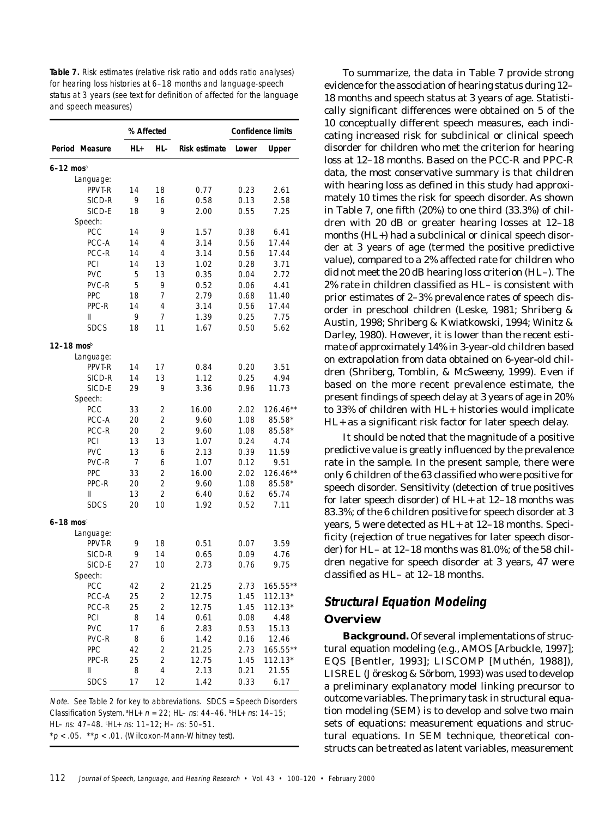**Table 7.** Risk estimates (relative risk ratio and odds ratio analyses) for hearing loss histories at 6–18 months and language-speech status at 3 years (see text for definition of affected for the language and speech measures)

|                         | % Affected |                         |                      |       | <b>Confidence limits</b> |
|-------------------------|------------|-------------------------|----------------------|-------|--------------------------|
| Period Measure          | HL+        | HL-                     | <b>Risk estimate</b> | Lower | <b>Upper</b>             |
| $6-12$ mos <sup>a</sup> |            |                         |                      |       |                          |
| Language:               |            |                         |                      |       |                          |
| PPVT-R                  | 14         | 18                      | 0.77                 | 0.23  | 2.61                     |
| SICD-R                  | 9          | 16                      | 0.58                 | 0.13  | 2.58                     |
| SICD-E                  | 18         | 9                       | 2.00                 | 0.55  | 7.25                     |
| Speech:                 |            |                         |                      |       |                          |
| PCC                     | 14         | 9                       | 1.57                 | 0.38  | 6.41                     |
| PCC-A                   | 14         | 4                       | 3.14                 | 0.56  | 17.44                    |
| PCC-R                   | 14         | 4                       | 3.14                 | 0.56  | 17.44                    |
| PCI                     | 14         | 13                      | 1.02                 | 0.28  | 3.71                     |
| <b>PVC</b>              | 5          | 13                      | 0.35                 | 0.04  | 2.72                     |
| PVC-R                   | 5          | 9                       | 0.52                 | 0.06  | 4.41                     |
| PPC                     | 18         | 7                       | 2.79                 | 0.68  | 11.40                    |
| PPC-R                   | 14         | 4                       | 3.14                 | 0.56  | 17.44                    |
| Ш                       | 9          | 7                       | 1.39                 | 0.25  | 7.75                     |
| <b>SDCS</b>             | 18         | 11                      | 1.67                 | 0.50  | 5.62                     |
| 12–18 mosb              |            |                         |                      |       |                          |
| Language:               |            |                         |                      |       |                          |
| PPVT-R                  | 14         | 17                      | 0.84                 | 0.20  | 3.51                     |
| SICD-R                  | 14         | 13                      | 1.12                 | 0.25  | 4.94                     |
| SICD-E                  | 29         | 9                       | 3.36                 | 0.96  | 11.73                    |
| Speech:                 |            |                         |                      |       |                          |
| PCC                     | 33         | 2                       | 16.00                | 2.02  | $126.46**$               |
| PCC-A                   | 20         | 2                       | 9.60                 | 1.08  | 85.58*                   |
| PCC-R                   | 20         | 2                       | 9.60                 | 1.08  | 85.58*                   |
| PCI                     | 13         | 13                      | 1.07                 | 0.24  | 4.74                     |
| <b>PVC</b>              | 13         | 6                       | 2.13                 | 0.39  | 11.59                    |
| PVC-R                   | 7          | 6                       | 1.07                 | 0.12  | 9.51                     |
| PPC                     | 33         | 2                       | 16.00                | 2.02  | 126.46**                 |
| PPC-R                   | 20         | $\overline{2}$          | 9.60                 | 1.08  | 85.58*                   |
| Ш                       | 13         | 2                       | 6.40                 | 0.62  | 65.74                    |
| <b>SDCS</b>             | 20         | 10                      | 1.92                 | 0.52  | 7.11                     |
| $6-18$ mos <sup>c</sup> |            |                         |                      |       |                          |
| Language:               |            |                         |                      |       |                          |
| PPVT-R                  | 9          | 18                      | 0.51                 | 0.07  | 3.59                     |
| SICD-R                  | 9          | 14                      | 0.65                 | 0.09  | 4.76                     |
| SICD-E                  | 27         | 10                      | 2.73                 | 0.76  | 9.75                     |
| Speech:                 |            |                         |                      |       |                          |
| PCC                     | 42         | $\overline{\mathbf{c}}$ | 21.25                |       | 2.73 165.55**            |
| PCC-A                   | 25         | 2                       | 12.75                | 1.45  | $112.13*$                |
| PCC-R                   | 25         | 2                       | 12.75                | 1.45  | $112.13*$                |
| <b>PCI</b>              | 8          | 14                      | 0.61                 | 0.08  | 4.48                     |
| PVC                     | 17         | 6                       | 2.83                 | 0.53  | 15.13                    |
| PVC-R                   | 8          | 6                       | 1.42                 | 0.16  | 12.46                    |
| PPC                     | 42         | 2                       | 21.25                | 2.73  | 165.55**                 |
| PPC-R                   | 25         | 2                       | 12.75                | 1.45  | $112.13*$                |
| Ш                       | 8          | 4                       | 2.13                 | 0.21  | 21.55                    |
| <b>SDCS</b>             | 17         | 12                      | 1.42                 | 0.33  | 6.17                     |

Note. See Table 2 for key to abbreviations. SDCS = Speech Disorders Classification System.  $^{\text{a}}$ HL+  $n = 22$ ; HL- ns: 44-46.  $^{\text{b}}$ HL+ ns: 14-15; HL– ns: 47–48. °HL+ ns: 11–12; H– ns: 50–51.  $*p < .05$ .  $*p < .01$ . (Wilcoxon-Mann-Whitney test).

To summarize, the data in Table 7 provide strong evidence for the association of hearing status during 12– 18 months and speech status at 3 years of age. Statistically significant differences were obtained on 5 of the 10 conceptually different speech measures, each indicating increased risk for subclinical or clinical speech disorder for children who met the criterion for hearing loss at 12–18 months. Based on the PCC-R and PPC-R data, the most conservative summary is that children with hearing loss as defined in this study had approximately 10 times the risk for speech disorder. As shown in Table 7, one fifth (20%) to one third (33.3%) of children with 20 dB or greater hearing losses at 12–18 months (HL+) had a subclinical or clinical speech disorder at 3 years of age (termed the positive predictive value), compared to a 2% affected rate for children who did not meet the 20 dB hearing loss criterion (HL–). The 2% rate in children classified as HL– is consistent with prior estimates of 2–3% prevalence rates of speech disorder in preschool children (Leske, 1981; Shriberg & Austin, 1998; Shriberg & Kwiatkowski, 1994; Winitz & Darley, 1980). However, it is lower than the recent estimate of approximately 14% in 3-year-old children based on extrapolation from data obtained on 6-year-old children (Shriberg, Tomblin, & McSweeny, 1999). Even if based on the more recent prevalence estimate, the present findings of speech delay at 3 years of age in 20% to 33% of children with HL+ histories would implicate HL+ as a significant risk factor for later speech delay.

It should be noted that the magnitude of a positive predictive value is greatly influenced by the prevalence rate in the sample. In the present sample, there were only 6 children of the 63 classified who were positive for speech disorder. Sensitivity (detection of true positives for later speech disorder) of HL+ at 12–18 months was 83.3%; of the 6 children positive for speech disorder at 3 years, 5 were detected as HL+ at 12–18 months. Specificity (rejection of true negatives for later speech disorder) for HL– at 12–18 months was 81.0%; of the 58 children negative for speech disorder at 3 years, 47 were classified as HL– at 12–18 months.

# **Structural Equation Modeling Overview**

**Background.** Of several implementations of structural equation modeling (e.g., AMOS [Arbuckle, 1997]; EQS [Bentler, 1993]; LISCOMP [Muthén, 1988]), LISREL (Jöreskog & Sörbom, 1993) was used to develop a preliminary explanatory model linking precursor to outcome variables. The primary task in structural equation modeling (SEM) is to develop and solve two main sets of equations: measurement equations and structural equations. In SEM technique, theoretical constructs can be treated as latent variables, measurement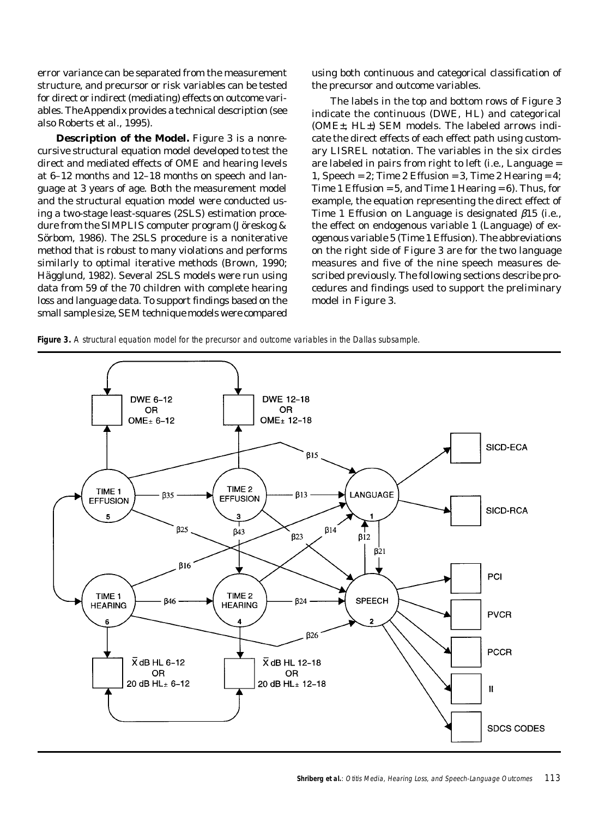error variance can be separated from the measurement structure, and precursor or risk variables can be tested for direct or indirect (mediating) effects on outcome variables. The Appendix provides a technical description (see also Roberts et al., 1995).

**Description of the Model.** Figure 3 is a nonrecursive structural equation model developed to test the direct and mediated effects of OME and hearing levels at 6–12 months and 12–18 months on speech and language at 3 years of age. Both the measurement model and the structural equation model were conducted using a two-stage least-squares (2SLS) estimation procedure from the SIMPLIS computer program (Jöreskog & Sörbom, 1986). The 2SLS procedure is a noniterative method that is robust to many violations and performs similarly to optimal iterative methods (Brown, 1990; Hägglund, 1982). Several 2SLS models were run using data from 59 of the 70 children with complete hearing loss and language data. To support findings based on the small sample size, SEM technique models were compared using both continuous and categorical classification of the precursor and outcome variables.

The labels in the top and bottom rows of Figure 3 indicate the continuous (DWE, HL) and categorical (OME±, HL±) SEM models. The labeled arrows indicate the direct effects of each effect path using customary LISREL notation. The variables in the six circles are labeled in pairs from right to left (i.e., Language = 1, Speech = 2; Time 2 Effusion = 3, Time 2 Hearing = 4; Time 1 Effusion =  $5$ , and Time 1 Hearing =  $6$ ). Thus, for example, the equation representing the direct effect of Time 1 Effusion on Language is designated β*15* (i.e., the effect on endogenous variable *1* (Language) of exogenous variable *5 (*Time 1 Effusion). The abbreviations on the right side of Figure 3 are for the two language measures and five of the nine speech measures described previously. The following sections describe procedures and findings used to support the preliminary model in Figure 3.

**Figure 3.** A structural equation model for the precursor and outcome variables in the Dallas subsample.

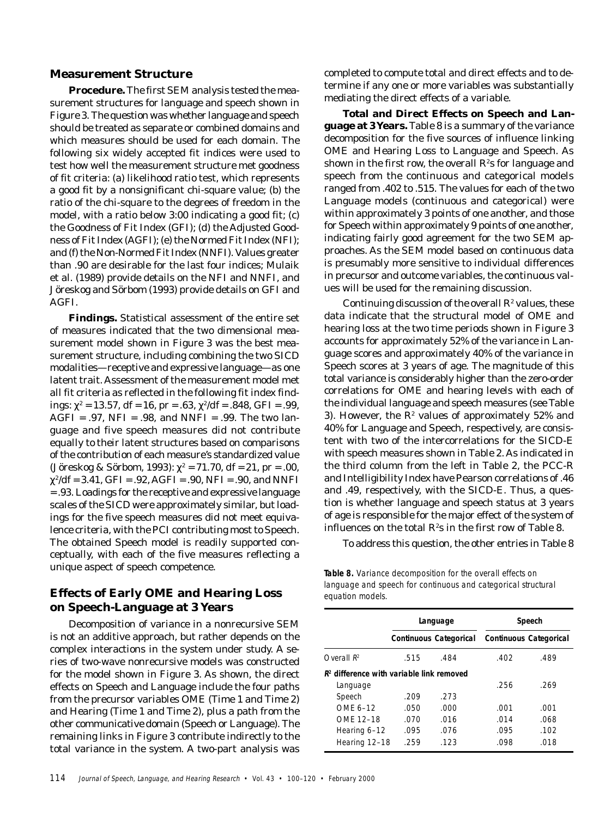#### **Measurement Structure**

**Procedure.** The first SEM analysis tested the measurement structures for language and speech shown in Figure 3. The question was whether language and speech should be treated as separate or combined domains and which measures should be used for each domain. The following six widely accepted fit indices were used to test how well the measurement structure met goodness of fit criteria: (a) likelihood ratio test, which represents a good fit by a nonsignificant chi-square value; (b) the ratio of the chi-square to the degrees of freedom in the model, with a ratio below 3:00 indicating a good fit; (c) the Goodness of Fit Index (GFI); (d) the Adjusted Goodness of Fit Index (AGFI); (e) the Normed Fit Index (NFI); and (f) the Non-Normed Fit Index (NNFI). Values greater than .90 are desirable for the last four indices; Mulaik et al. (1989) provide details on the NFI and NNFI, and Jöreskog and Sörbom (1993) provide details on GFI and AGFI.

**Findings.** Statistical assessment of the entire set of measures indicated that the two dimensional measurement model shown in Figure 3 was the best measurement structure, including combining the two SICD modalities—receptive and expressive language—as one latent trait. Assessment of the measurement model met all fit criteria as reflected in the following fit index findings: χ<sup>2</sup> = 13.57, *df* = 16, *pr* = .63, χ2/*df* = .848, GFI = .99,  $AGFI = .97$ ,  $NFI = .98$ , and  $NNFI = .99$ . The two language and five speech measures did not contribute equally to their latent structures based on comparisons of the contribution of each measure's standardized value (Jöreskog & Sörbom, 1993): χ2 = 71.70, *df* = 21, *pr* = .00,  $\chi^2/df = 3.41$ , GFI = .92, AGFI = .90, NFI = .90, and NNFI = .93. Loadings for the receptive and expressive language scales of the SICD were approximately similar, but loadings for the five speech measures did not meet equivalence criteria, with the PCI contributing most to Speech. The obtained Speech model is readily supported conceptually, with each of the five measures reflecting a unique aspect of speech competence.

## **Effects of Early OME and Hearing Loss on Speech-Language at 3 Years**

Decomposition of variance in a nonrecursive SEM is not an additive approach, but rather depends on the complex interactions in the system under study. A series of two-wave nonrecursive models was constructed for the model shown in Figure 3. As shown, the direct effects on Speech and Language include the four paths from the precursor variables OME (Time 1 and Time 2) and Hearing (Time 1 and Time 2), plus a path from the other communicative domain (Speech or Language). The remaining links in Figure 3 contribute indirectly to the total variance in the system. A two-part analysis was

completed to compute total and direct effects and to determine if any one or more variables was substantially mediating the direct effects of a variable.

**Total and Direct Effects on Speech and Language at 3 Years.** Table 8 is a summary of the variance decomposition for the five sources of influence linking OME and Hearing Loss to Language and Speech. As shown in the first row, the overall  $R^{\!\varepsilon}$ s for language and speech from the continuous and categorical models ranged from .402 to .515. The values for each of the two Language models (continuous and categorical) were within approximately 3 points of one another, and those for Speech within approximately 9 points of one another, indicating fairly good agreement for the two SEM approaches. As the SEM model based on continuous data is presumably more sensitive to individual differences in precursor and outcome variables, the continuous values will be used for the remaining discussion.

Continuing discussion of the overall  $R^2$  values, these data indicate that the structural model of OME and hearing loss at the two time periods shown in Figure 3 accounts for approximately 52% of the variance in Language scores and approximately 40% of the variance in Speech scores at 3 years of age. The magnitude of this total variance is considerably higher than the zero-order correlations for OME and hearing levels with each of the individual language and speech measures (see Table 3). However, the  $R^e$  values of approximately 52% and 40% for Language and Speech, respectively, are consistent with two of the intercorrelations for the SICD-E with speech measures shown in Table 2. As indicated in the third column from the left in Table 2, the PCC-R and Intelligibility Index have Pearson correlations of .46 and .49, respectively, with the SICD-E. Thus, a question is whether language and speech status at 3 years of age is responsible for the major effect of the system of influences on the total  $R^{\scriptscriptstyle\! E}$ s in the first row of Table 8.

To address this question, the other entries in Table 8

**Table 8.** Variance decomposition for the overall effects on language and speech for continuous and categorical structural equation models.

|                                            |      | Language                      |                               | Speech |
|--------------------------------------------|------|-------------------------------|-------------------------------|--------|
|                                            |      | <b>Continuous Categorical</b> | <b>Continuous Categorical</b> |        |
| Overall $R^2$                              | .515 | .484                          | .402                          | .489   |
| $R2$ difference with variable link removed |      |                               |                               |        |
| Language                                   |      |                               | .256                          | .269   |
| Speech                                     | .209 | .273                          |                               |        |
| OMF 6-12                                   | .050 | .000                          | .001                          | .001   |
| OME 12-18                                  | .070 | .016                          | .014                          | .068   |
| Hearing 6-12                               | .095 | .076                          | .095                          | .102   |
| Hearing 12-18                              | .259 | .123                          | .098                          | .018   |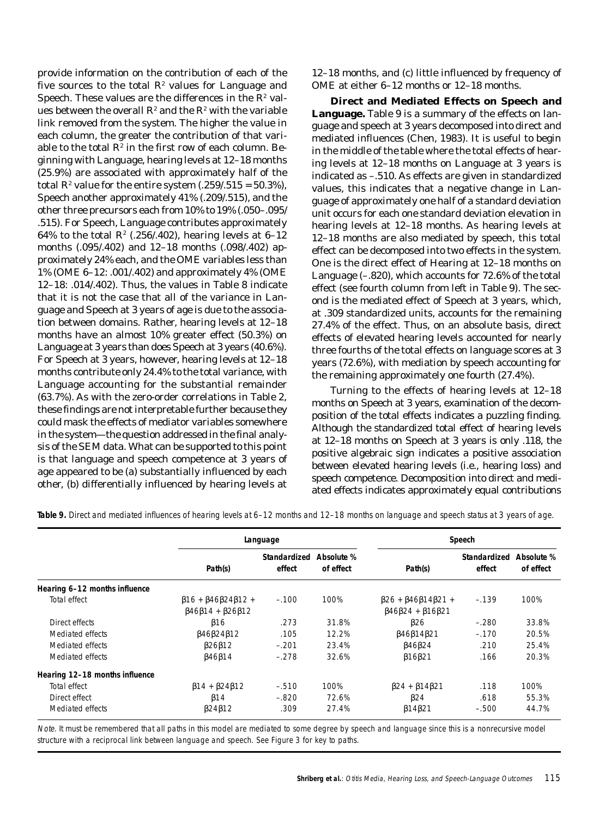provide information on the contribution of each of the five sources to the total  $R^{\scriptscriptstyle\! 2}$  values for Language and Speech. These values are the differences in the  $R^2$  values between the overall  $R^{\!\varepsilon}$  and the  $R^{\!\varepsilon}$  with the variable link removed from the system. The higher the value in each column, the greater the contribution of that variable to the total  $R^2$  in the first row of each column. Beginning with Language, hearing levels at 12–18 months (25.9%) are associated with approximately half of the total  $R^2$  value for the entire system  $(.259/.515 = 50.3\%)$ , Speech another approximately 41% (.209/.515), and the other three precursors each from 10% to 19% (.050–.095/ .515). For Speech, Language contributes approximately 64% to the total  $R^2$  (.256/.402), hearing levels at 6–12 months (.095/.402) and 12–18 months (.098/.402) approximately 24% each, and the OME variables less than 1% (OME 6–12: .001/.402) and approximately 4% (OME 12–18: .014/.402). Thus, the values in Table 8 indicate that it is not the case that all of the variance in Language and Speech at 3 years of age is due to the association between domains. Rather, hearing levels at 12–18 months have an almost 10% greater effect (50.3%) on Language at 3 years than does Speech at 3 years (40.6%). For Speech at 3 years, however, hearing levels at 12–18 months contribute only 24.4% to the total variance, with Language accounting for the substantial remainder (63.7%). As with the zero-order correlations in Table 2, these findings are not interpretable further because they could mask the effects of mediator variables somewhere in the system—the question addressed in the final analysis of the SEM data. What can be supported to this point is that language and speech competence at 3 years of age appeared to be (a) substantially influenced by each other, (b) differentially influenced by hearing levels at 12–18 months, and (c) little influenced by frequency of OME at either 6–12 months or 12–18 months.

**Direct and Mediated Effects on Speech and Language.** Table 9 is a summary of the effects on language and speech at 3 years decomposed into direct and mediated influences (Chen, 1983). It is useful to begin in the middle of the table where the total effects of hearing levels at 12–18 months on Language at 3 years is indicated as –.510. As effects are given in standardized values, this indicates that a negative change in Language of approximately one half of a standard deviation unit occurs for each one standard deviation elevation in hearing levels at 12–18 months. As hearing levels at 12–18 months are also mediated by speech, this total effect can be decomposed into two effects in the system. One is the direct effect of Hearing at 12–18 months on Language (–.820), which accounts for 72.6% of the total effect (see fourth column from left in Table 9). The second is the mediated effect of Speech at 3 years, which, at .309 standardized units, accounts for the remaining 27.4% of the effect. Thus, on an absolute basis, direct effects of elevated hearing levels accounted for nearly three fourths of the total effects on language scores at 3 years (72.6%), with mediation by speech accounting for the remaining approximately one fourth (27.4%).

Turning to the effects of hearing levels at 12–18 months on Speech at 3 years, examination of the decomposition of the total effects indicates a puzzling finding. Although the standardized total effect of hearing levels at 12–18 months on Speech at 3 years is only .118, the positive algebraic sign indicates a positive association between elevated hearing levels (i.e., hearing loss) and speech competence. Decomposition into direct and mediated effects indicates approximately equal contributions

|                                |                                                                                                  | Language               |                         |                                                                                                  | Speech                 |                         |
|--------------------------------|--------------------------------------------------------------------------------------------------|------------------------|-------------------------|--------------------------------------------------------------------------------------------------|------------------------|-------------------------|
|                                | Path(s)                                                                                          | Standardized<br>effect | Absolute %<br>of effect | Path(s)                                                                                          | Standardized<br>effect | Absolute %<br>of effect |
| Hearing 6-12 months influence  |                                                                                                  |                        |                         |                                                                                                  |                        |                         |
| Total effect                   | $\beta$ 16 + $\beta$ 46 $\beta$ 24 $\beta$ 12 +<br>$\beta$ 46 $\beta$ 14 + $\beta$ 26 $\beta$ 12 | $-.100$                | 100%                    | $\beta$ 26 + $\beta$ 46 $\beta$ 14 $\beta$ 21 +<br>$\beta$ 46 $\beta$ 24 + $\beta$ 16 $\beta$ 21 | $-.139$                | 100%                    |
| Direct effects                 | $\beta$ 16                                                                                       | .273                   | 31.8%                   | $\beta$ 26                                                                                       | $-.280$                | 33.8%                   |
| Mediated effects               | $\beta$ 46 $\beta$ 24 $\beta$ 12                                                                 | .105                   | 12.2%                   | $\beta$ 46 $\beta$ 14 $\beta$ 21                                                                 | $-.170$                | 20.5%                   |
| Mediated effects               | $\beta$ 26 $\beta$ 12                                                                            | $-.201$                | 23.4%                   | $\beta$ 46 $\beta$ 24                                                                            | .210                   | 25.4%                   |
| Mediated effects               | $\beta$ 46 $\beta$ 14                                                                            | $-.278$                | 32.6%                   | $\beta$ 16 $\beta$ 21                                                                            | .166                   | 20.3%                   |
| Hearing 12-18 months influence |                                                                                                  |                        |                         |                                                                                                  |                        |                         |
| Total effect                   | $\beta$ 14 + $\beta$ 24 $\beta$ 12                                                               | $-.510$                | 100%                    | $\beta$ 24 + $\beta$ 14 $\beta$ 21                                                               | .118                   | 100%                    |
| Direct effect                  | $\beta$ 14                                                                                       | $-.820$                | 72.6%                   | $\beta$ 24                                                                                       | .618                   | 55.3%                   |
| Mediated effects               | $\beta$ 24 $\beta$ 12                                                                            | .309                   | 27.4%                   | $\beta$ 14 $\beta$ 21                                                                            | $-.500$                | 44.7%                   |

**Table 9.** Direct and mediated influences of hearing levels at 6–12 months and 12–18 months on language and speech status at 3 years of age.

Note. It must be remembered that all paths in this model are mediated to some degree by speech and language since this is a nonrecursive model structure with a reciprocal link between language and speech. See Figure 3 for key to paths.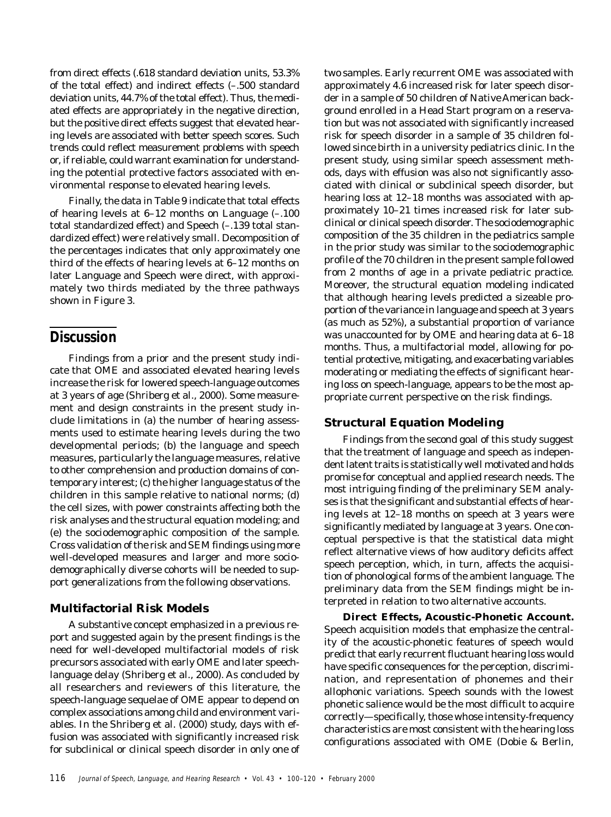from direct effects (.618 standard deviation units, 53.3% of the total effect) and indirect effects (–.500 standard deviation units, 44.7% of the total effect). Thus, the mediated effects are appropriately in the negative direction, but the positive direct effects suggest that elevated hearing levels are associated with better speech scores. Such trends could reflect measurement problems with speech or, if reliable, could warrant examination for understanding the potential protective factors associated with environmental response to elevated hearing levels.

Finally, the data in Table 9 indicate that total effects of hearing levels at 6–12 months on Language (–.100 total standardized effect) and Speech (–.139 total standardized effect) were relatively small. Decomposition of the percentages indicates that only approximately one third of the effects of hearing levels at 6–12 months on later Language and Speech were direct, with approximately two thirds mediated by the three pathways shown in Figure 3.

# **Discussion**

Findings from a prior and the present study indicate that OME and associated elevated hearing levels increase the risk for lowered speech-language outcomes at 3 years of age (Shriberg et al., 2000). Some measurement and design constraints in the present study include limitations in (a) the number of hearing assessments used to estimate hearing levels during the two developmental periods; (b) the language and speech measures, particularly the language measures, relative to other comprehension and production domains of contemporary interest; (c) the higher language status of the children in this sample relative to national norms; (d) the cell sizes, with power constraints affecting both the risk analyses and the structural equation modeling; and (e) the sociodemographic composition of the sample. Cross validation of the risk and SEM findings using more well-developed measures and larger and more sociodemographically diverse cohorts will be needed to support generalizations from the following observations.

## **Multifactorial Risk Models**

A substantive concept emphasized in a previous report and suggested again by the present findings is the need for well-developed multifactorial models of risk precursors associated with early OME and later speechlanguage delay (Shriberg et al., 2000). As concluded by all researchers and reviewers of this literature, the speech-language sequelae of OME appear to depend on complex associations among child and environment variables. In the Shriberg et al. (2000) study, days with effusion was associated with significantly increased risk for subclinical or clinical speech disorder in only one of two samples. Early recurrent OME was associated with approximately 4.6 increased risk for later speech disorder in a sample of 50 children of Native American background enrolled in a Head Start program on a reservation but was not associated with significantly increased risk for speech disorder in a sample of 35 children followed since birth in a university pediatrics clinic. In the present study, using similar speech assessment methods, days with effusion was also not significantly associated with clinical or subclinical speech disorder, but hearing loss at 12–18 months was associated with approximately 10–21 times increased risk for later subclinical or clinical speech disorder. The sociodemographic composition of the 35 children in the pediatrics sample in the prior study was similar to the sociodemographic profile of the 70 children in the present sample followed from 2 months of age in a private pediatric practice. Moreover, the structural equation modeling indicated that although hearing levels predicted a sizeable proportion of the variance in language and speech at 3 years (as much as 52%), a substantial proportion of variance was unaccounted for by OME and hearing data at 6–18 months. Thus, a multifactorial model, allowing for potential protective, mitigating, and exacerbating variables moderating or mediating the effects of significant hearing loss on speech-language, appears to be the most appropriate current perspective on the risk findings.

## **Structural Equation Modeling**

Findings from the second goal of this study suggest that the treatment of language and speech as independent latent traits is statistically well motivated and holds promise for conceptual and applied research needs. The most intriguing finding of the preliminary SEM analyses is that the significant and substantial effects of hearing levels at 12–18 months on speech at 3 years were significantly mediated by language at 3 years. One conceptual perspective is that the statistical data might reflect alternative views of how auditory deficits affect speech perception, which, in turn, affects the acquisition of phonological forms of the ambient language. The preliminary data from the SEM findings might be interpreted in relation to two alternative accounts.

**Direct Effects, Acoustic-Phonetic Account.** Speech acquisition models that emphasize the centrality of the acoustic-phonetic features of speech would predict that early recurrent fluctuant hearing loss would have specific consequences for the perception, discrimination, and representation of phonemes and their allophonic variations. Speech sounds with the lowest phonetic salience would be the most difficult to acquire correctly—specifically, those whose intensity-frequency characteristics are most consistent with the hearing loss configurations associated with OME (Dobie & Berlin,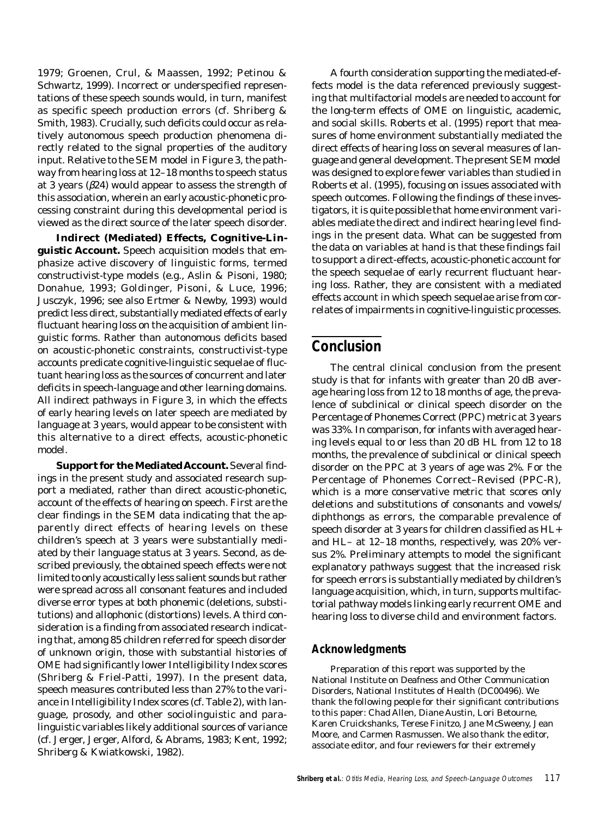1979; Groenen, Crul, & Maassen, 1992; Petinou & Schwartz, 1999). Incorrect or underspecified representations of these speech sounds would, in turn, manifest as specific speech production errors (cf. Shriberg & Smith, 1983). Crucially, such deficits could occur as relatively autonomous speech production phenomena directly related to the signal properties of the auditory input. Relative to the SEM model in Figure 3, the pathway from hearing loss at 12–18 months to speech status at 3 years (β*24*) would appear to assess the strength of this association, wherein an early acoustic-phonetic processing constraint during this developmental period is viewed as the *direct* source of the later speech disorder.

**Indirect (Mediated) Effects, Cognitive-Linguistic Account.** Speech acquisition models that emphasize active discovery of linguistic forms, termed constructivist-type models (e.g., Aslin & Pisoni, 1980; Donahue, 1993; Goldinger, Pisoni, & Luce, 1996; Jusczyk, 1996; see also Ertmer & Newby, 1993) would predict less direct, substantially mediated effects of early fluctuant hearing loss on the acquisition of ambient linguistic forms. Rather than autonomous deficits based on acoustic-phonetic constraints, constructivist-type accounts predicate cognitive-linguistic sequelae of fluctuant hearing loss as the sources of concurrent and later deficits in speech-language and other learning domains. All indirect pathways in Figure 3, in which the effects of early hearing levels on later speech are mediated by language at 3 years, would appear to be consistent with this alternative to a direct effects, acoustic-phonetic model.

**Support for the Mediated Account.** Several findings in the present study and associated research support a mediated, rather than direct acoustic-phonetic, account of the effects of hearing on speech. First are the clear findings in the SEM data indicating that the apparently direct effects of hearing levels on these children's speech at 3 years were substantially mediated by their language status at 3 years. Second, as described previously, the obtained speech effects were not limited to only acoustically less salient sounds but rather were spread across all consonant features and included diverse error types at both phonemic (deletions, substitutions) and allophonic (distortions) levels. A third consideration is a finding from associated research indicating that, among 85 children referred for speech disorder of unknown origin, those with substantial histories of OME had significantly lower Intelligibility Index scores (Shriberg & Friel-Patti, 1997). In the present data, speech measures contributed less than 27% to the variance in Intelligibility Index scores (cf. Table 2), with language, prosody, and other sociolinguistic and paralinguistic variables likely additional sources of variance (cf. Jerger, Jerger, Alford, & Abrams, 1983; Kent, 1992; Shriberg & Kwiatkowski, 1982).

A fourth consideration supporting the mediated-effects model is the data referenced previously suggesting that multifactorial models are needed to account for the long-term effects of OME on linguistic, academic, and social skills. Roberts et al. (1995) report that measures of home environment substantially mediated the direct effects of hearing loss on several measures of language and general development. The present SEM model was designed to explore fewer variables than studied in Roberts et al. (1995), focusing on issues associated with speech outcomes. Following the findings of these investigators, it is quite possible that home environment variables mediate the direct and indirect hearing level findings in the present data. What can be suggested from the data on variables at hand is that these findings fail to support a direct-effects, acoustic-phonetic account for the speech sequelae of early recurrent fluctuant hearing loss. Rather, they are consistent with a mediated effects account in which speech sequelae arise from correlates of impairments in cognitive-linguistic processes.

# **Conclusion**

The central clinical conclusion from the present study is that for infants with greater than 20 dB average hearing loss from 12 to 18 months of age, the prevalence of subclinical or clinical speech disorder on the Percentage of Phonemes Correct (PPC) metric at 3 years was 33%. In comparison, for infants with averaged hearing levels equal to or less than 20 dB HL from 12 to 18 months, the prevalence of subclinical or clinical speech disorder on the PPC at 3 years of age was 2%. For the Percentage of Phonemes Correct–Revised (PPC-R), which is a more conservative metric that scores only deletions and substitutions of consonants and vowels/ diphthongs as errors, the comparable prevalence of speech disorder at 3 years for children classified as HL+ and HL– at 12–18 months, respectively, was 20% versus 2%. Preliminary attempts to model the significant explanatory pathways suggest that the increased risk for speech errors is substantially mediated by children's language acquisition, which, in turn, supports multifactorial pathway models linking early recurrent OME and hearing loss to diverse child and environment factors.

#### **Acknowledgments**

Preparation of this report was supported by the National Institute on Deafness and Other Communication Disorders, National Institutes of Health (DC00496). We thank the following people for their significant contributions to this paper: Chad Allen, Diane Austin, Lori Betourne, Karen Cruickshanks, Terese Finitzo, Jane McSweeny, Jean Moore, and Carmen Rasmussen. We also thank the editor, associate editor, and four reviewers for their extremely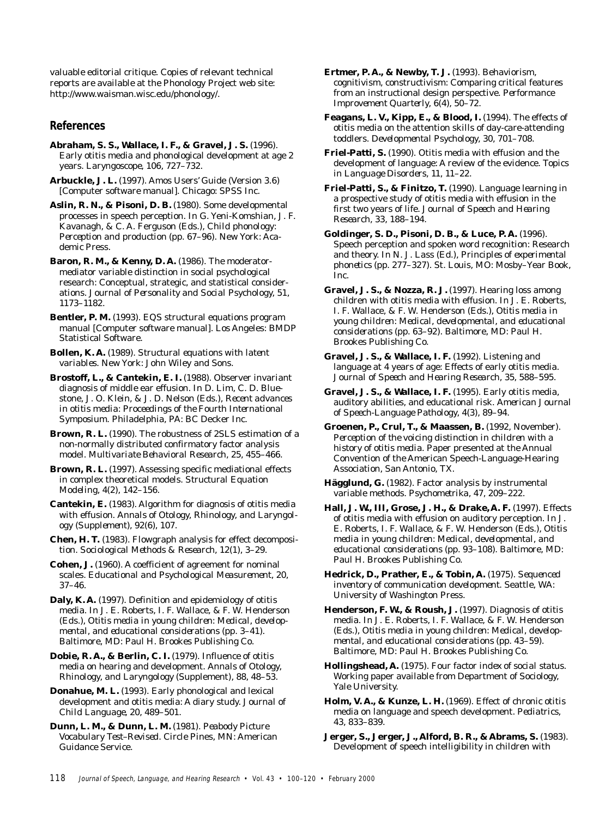valuable editorial critique. Copies of relevant technical reports are available at the Phonology Project web site: http://www.waisman.wisc.edu/phonology/.

#### **References**

- **Abraham, S. S., Wallace, I. F., & Gravel, J. S.** (1996). Early otitis media and phonological development at age 2 years. *Laryngoscope, 106*, 727–732.
- **Arbuckle, J. L.** (1997). Amos Users' Guide (Version 3.6) [Computer software manual]. Chicago: SPSS Inc.
- **Aslin, R. N., & Pisoni, D. B.** (1980). Some developmental processes in speech perception. In G. Yeni-Komshian, J. F. Kavanagh, & C. A. Ferguson (Eds.), *Child phonology: Perception and production* (pp. 67–96). New York: Academic Press.
- **Baron, R. M., & Kenny, D. A.** (1986). The moderatormediator variable distinction in social psychological research: Conceptual, strategic, and statistical considerations. *Journal of Personality and Social Psychology, 51*, 1173–1182.
- **Bentler, P. M.** (1993). EQS structural equations program manual [Computer software manual]. Los Angeles: BMDP Statistical Software.
- **Bollen, K. A.** (1989). *Structural equations with latent variables*. New York: John Wiley and Sons.
- **Brostoff, L., & Cantekin, E. I.** (1988). Observer invariant diagnosis of middle ear effusion. In D. Lim, C. D. Bluestone, J. O. Klein, & J. D. Nelson (Eds.), *Recent advances in otitis media: Proceedings of the Fourth International Symposium*. Philadelphia, PA: BC Decker Inc.
- **Brown, R. L.** (1990). The robustness of 2SLS estimation of a non-normally distributed confirmatory factor analysis model. *Multivariate Behavioral Research, 25*, 455–466.
- **Brown, R. L.** (1997). Assessing specific mediational effects in complex theoretical models. *Structural Equation Modeling, 4*(2), 142–156.
- **Cantekin, E.** (1983). Algorithm for diagnosis of otitis media with effusion. *Annals of Otology, Rhinology, and Laryngology (Supplement), 92*(6), 107.
- **Chen, H. T.** (1983). Flowgraph analysis for effect decomposition. *Sociological Methods & Research, 12*(1), 3–29.
- **Cohen, J.** (1960). A coefficient of agreement for nominal scales. *Educational and Psychological Measurement, 20*, 37–46.
- **Daly, K. A.** (1997). Definition and epidemiology of otitis media. In J. E. Roberts, I. F. Wallace, & F. W. Henderson (Eds.), *Otitis media in young children: Medical, developmental, and educational considerations* (pp. 3–41). Baltimore, MD: Paul H. Brookes Publishing Co.
- **Dobie, R. A., & Berlin, C. I.** (1979). Influence of otitis media on hearing and development. *Annals of Otology, Rhinology, and Laryngology* (Supplement)*, 88*, 48–53.
- **Donahue, M. L.** (1993). Early phonological and lexical development and otitis media: A diary study. *Journal of Child Language, 20*, 489–501.
- **Dunn, L. M., & Dunn, L. M.** (1981). *Peabody Picture Vocabulary Test–Revised.* Circle Pines, MN: American Guidance Service.
- **Ertmer, P. A., & Newby, T. J.** (1993). Behaviorism, cognitivism, constructivism: Comparing critical features from an instructional design perspective. *Performance Improvement Quarterly, 6*(4), 50–72.
- **Feagans, L. V., Kipp, E., & Blood, I.** (1994). The effects of otitis media on the attention skills of day-care-attending toddlers. *Developmental Psychology, 30*, 701–708.
- **Friel-Patti, S.** (1990). Otitis media with effusion and the development of language: A review of the evidence. *Topics in Language Disorders, 11*, 11–22.
- **Friel-Patti, S., & Finitzo, T.** (1990). Language learning in a prospective study of otitis media with effusion in the first two years of life. *Journal of Speech and Hearing Research, 33*, 188–194.
- **Goldinger, S. D., Pisoni, D. B., & Luce, P. A.** (1996). Speech perception and spoken word recognition: Research and theory. In N. J. Lass (Ed.), *Principles of experimental phonetics* (pp. 277–327). St. Louis, MO: Mosby–Year Book, Inc.
- **Gravel, J. S., & Nozza, R. J.** (1997). Hearing loss among children with otitis media with effusion. In J. E. Roberts, I. F. Wallace, & F. W. Henderson (Eds.), *Otitis media in young children: Medical, developmental, and educational considerations* (pp. 63–92). Baltimore, MD: Paul H. Brookes Publishing Co.
- **Gravel, J. S., & Wallace, I. F.** (1992). Listening and language at 4 years of age: Effects of early otitis media. *Journal of Speech and Hearing Research, 35*, 588–595.
- **Gravel, J. S., & Wallace, I. F.** (1995). Early otitis media, auditory abilities, and educational risk. *American Journal of Speech-Language Pathology, 4*(3), 89–94.
- **Groenen, P., Crul, T., & Maassen, B.** (1992, November). *Perception of the voicing distinction in children with a history of otitis media*. Paper presented at the Annual Convention of the American Speech-Language-Hearing Association, San Antonio, TX.
- **Hägglund, G.** (1982). Factor analysis by instrumental variable methods. *Psychometrika, 47*, 209–222.
- **Hall, J. W., III, Grose, J. H., & Drake, A. F.** (1997). Effects of otitis media with effusion on auditory perception. In J. E. Roberts, I. F. Wallace, & F. W. Henderson (Eds.), *Otitis media in young children: Medical, developmental, and educational considerations* (pp. 93–108). Baltimore, MD: Paul H. Brookes Publishing Co.
- **Hedrick, D., Prather, E., & Tobin, A.** (1975). *Sequenced inventory of communication development*. Seattle, WA: University of Washington Press.
- **Henderson, F. W., & Roush, J.** (1997). Diagnosis of otitis media. In J. E. Roberts, I. F. Wallace, & F. W. Henderson (Eds.), *Otitis media in young children: Medical, developmental, and educational considerations* (pp. 43–59). Baltimore, MD: Paul H. Brookes Publishing Co.
- **Hollingshead, A.** (1975). *Four factor index of social status*. Working paper available from Department of Sociology, Yale University.
- **Holm, V. A., & Kunze, L. H.** (1969). Effect of chronic otitis media on language and speech development. *Pediatrics, 43*, 833–839.
- **Jerger, S., Jerger, J., Alford, B. R., & Abrams, S.** (1983). Development of speech intelligibility in children with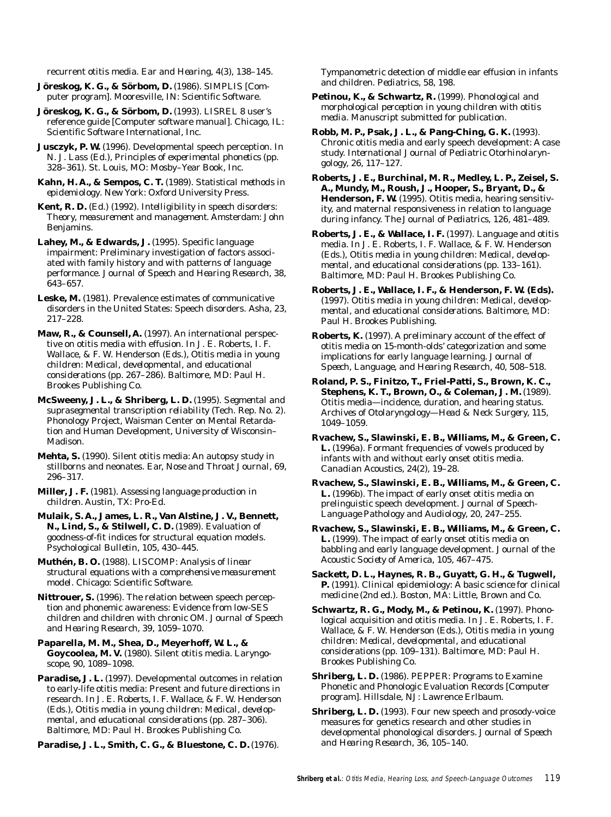recurrent otitis media. *Ear and Hearing, 4*(3), 138–145.

**Jöreskog, K. G., & Sörbom, D.** (1986). SIMPLIS [Computer program]. Mooresville, IN: Scientific Software.

**Jöreskog, K. G., & Sörbom, D.** (1993). LISREL 8 user's reference guide [Computer software manual]. Chicago, IL: Scientific Software International, Inc.

**Jusczyk, P. W.** (1996). Developmental speech perception. In N. J. Lass (Ed.), *Principles of experimental phonetics* (pp. 328–361). St. Louis, MO: Mosby–Year Book, Inc.

**Kahn, H. A., & Sempos, C. T.** (1989). *Statistical methods in epidemiology*. New York: Oxford University Press.

**Kent, R. D.** (Ed.) (1992). *Intelligibility in speech disorders: Theory, measurement and management*. Amsterdam: John Benjamins.

**Lahey, M., & Edwards, J.** (1995). Specific language impairment: Preliminary investigation of factors associated with family history and with patterns of language performance. *Journal of Speech and Hearing Research, 38*, 643–657.

**Leske, M.** (1981). Prevalence estimates of communicative disorders in the United States: Speech disorders. *Asha, 23*, 217–228.

**Maw, R., & Counsell, A.** (1997). An international perspective on otitis media with effusion. In J. E. Roberts, I. F. Wallace, & F. W. Henderson (Eds.), *Otitis media in young children: Medical, developmental, and educational considerations* (pp. 267–286). Baltimore, MD: Paul H. Brookes Publishing Co.

**McSweeny, J. L., & Shriberg, L. D.** (1995). *Segmental and suprasegmental transcription reliability* (Tech. Rep. No. 2). Phonology Project, Waisman Center on Mental Retardation and Human Development, University of Wisconsin– Madison.

**Mehta, S.** (1990). Silent otitis media: An autopsy study in stillborns and neonates. *Ear, Nose and Throat Journal, 69*, 296–317.

**Miller, J. F.** (1981). *Assessing language production in children*. Austin, TX: Pro-Ed.

**Mulaik, S. A., James, L. R., Van Alstine, J. V., Bennett, N., Lind, S., & Stilwell, C. D.** (1989). Evaluation of goodness-of-fit indices for structural equation models. *Psychological Bulletin, 105*, 430–445.

**Muthén, B. O.** (1988). *LISCOMP: Analysis of linear structural equations with a comprehensive measurement model*. Chicago: Scientific Software.

**Nittrouer, S.** (1996). The relation between speech perception and phonemic awareness: Evidence from low-SES children and children with chronic OM. *Journal of Speech and Hearing Research, 39*, 1059–1070.

**Paparella, M. M., Shea, D., Meyerhoff, W. L., & Goycoolea, M. V.** (1980). Silent otitis media. *Laryngoscope, 90*, 1089–1098.

Paradise, J. L. (1997). Developmental outcomes in relation to early-life otitis media: Present and future directions in research. In J. E. Roberts, I. F. Wallace, & F. W. Henderson (Eds.), *Otitis media in young children: Medical, developmental, and educational considerations* (pp. 287–306). Baltimore, MD: Paul H. Brookes Publishing Co.

**Paradise, J. L., Smith, C. G., & Bluestone, C. D.** (1976).

Tympanometric detection of middle ear effusion in infants and children. *Pediatrics, 58*, 198.

**Petinou, K., & Schwartz, R.** (1999). *Phonological and morphological perception in young children with otitis media*. Manuscript submitted for publication.

**Robb, M. P., Psak, J. L., & Pang-Ching, G. K.** (1993). Chronic otitis media and early speech development: A case study. *International Journal of Pediatric Otorhinolaryngology, 26*, 117–127.

**Roberts, J. E., Burchinal, M. R., Medley, L. P., Zeisel, S. A., Mundy, M., Roush, J., Hooper, S., Bryant, D., & Henderson, F. W.** (1995). Otitis media, hearing sensitivity, and maternal responsiveness in relation to language during infancy. *The Journal of Pediatrics, 126*, 481–489.

**Roberts, J. E., & Wallace, I. F.** (1997). Language and otitis media. In J. E. Roberts, I. F. Wallace, & F. W. Henderson (Eds.), *Otitis media in young children: Medical, developmental, and educational considerations* (pp. 133–161). Baltimore, MD: Paul H. Brookes Publishing Co.

**Roberts, J. E., Wallace, I. F., & Henderson, F. W. (Eds).** (1997). *Otitis media in young children: Medical, developmental, and educational considerations*. Baltimore, MD: Paul H. Brookes Publishing.

**Roberts, K.** (1997). A preliminary account of the effect of otitis media on 15-month-olds' categorization and some implications for early language learning. *Journal of Speech, Language, and Hearing Research, 40*, 508–518.

**Roland, P. S., Finitzo, T., Friel-Patti, S., Brown, K. C., Stephens, K. T., Brown, O., & Coleman, J. M.** (1989). Otitis media—incidence, duration, and hearing status. *Archives of Otolaryngology—Head & Neck Surgery, 115*, 1049–1059.

**Rvachew, S., Slawinski, E. B., Williams, M., & Green, C. L.** (1996a). Formant frequencies of vowels produced by infants with and without early onset otitis media. *Canadian Acoustics, 24*(2), 19–28.

**Rvachew, S., Slawinski, E. B., Williams, M., & Green, C. L.** (1996b). The impact of early onset otitis media on prelinguistic speech development. *Journal of Speech-Language Pathology and Audiology, 20*, 247–255.

**Rvachew, S., Slawinski, E. B., Williams, M., & Green, C. L.** (1999). The impact of early onset otitis media on babbling and early language development. *Journal of the Acoustic Society of America, 105*, 467–475.

**Sackett, D. L., Haynes, R. B., Guyatt, G. H., & Tugwell, P.** (1991). *Clinical epidemiology: A basic science for clinical medicine* (2nd ed.). Boston, MA: Little, Brown and Co.

**Schwartz, R. G., Mody, M., & Petinou, K.** (1997). Phonological acquisition and otitis media. In J. E. Roberts, I. F. Wallace, & F. W. Henderson (Eds.), *Otitis media in young children: Medical, developmental, and educational considerations* (pp. 109–131). Baltimore, MD: Paul H. Brookes Publishing Co.

**Shriberg, L. D.** (1986). PEPPER: Programs to Examine Phonetic and Phonologic Evaluation Records [Computer program]. Hillsdale, NJ: Lawrence Erlbaum.

**Shriberg, L. D.** (1993). Four new speech and prosody-voice measures for genetics research and other studies in developmental phonological disorders. *Journal of Speech and Hearing Research, 36*, 105–140.